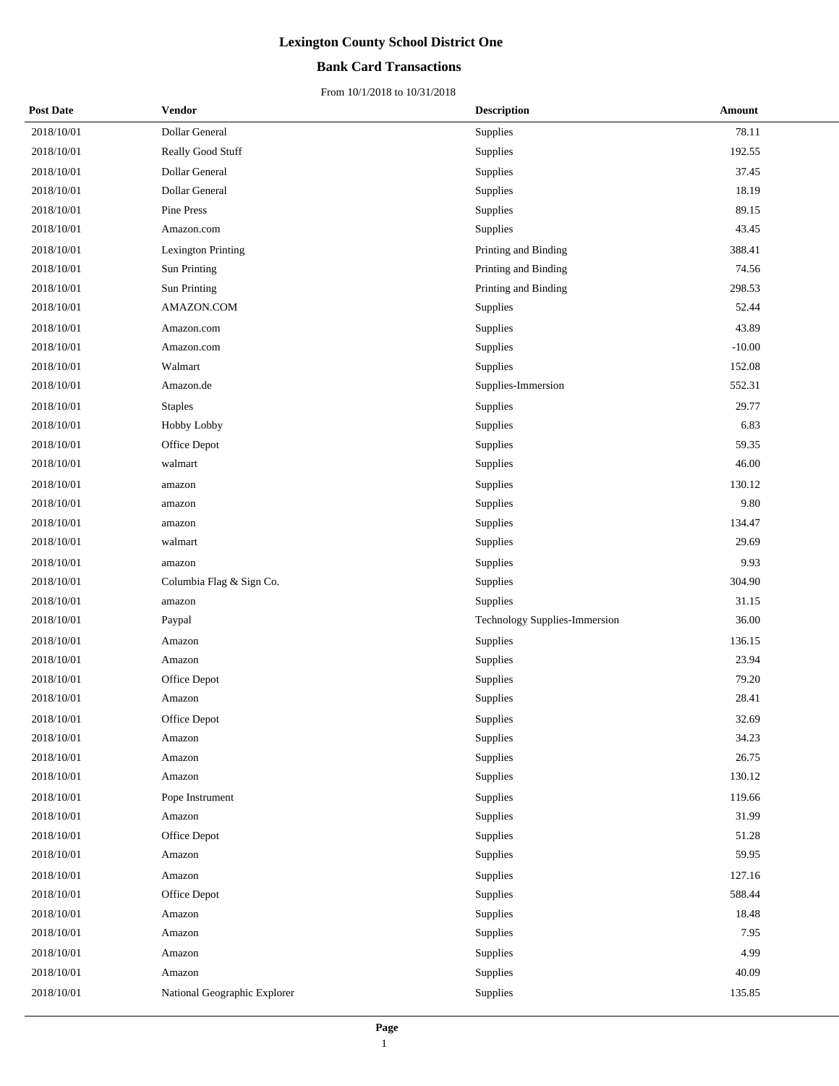## **Bank Card Transactions**

| <b>Post Date</b> | <b>Vendor</b>                | <b>Description</b>            | Amount   |
|------------------|------------------------------|-------------------------------|----------|
| 2018/10/01       | Dollar General               | Supplies                      | 78.11    |
| 2018/10/01       | Really Good Stuff            | Supplies                      | 192.55   |
| 2018/10/01       | Dollar General               | Supplies                      | 37.45    |
| 2018/10/01       | Dollar General               | Supplies                      | 18.19    |
| 2018/10/01       | Pine Press                   | Supplies                      | 89.15    |
| 2018/10/01       | Amazon.com                   | Supplies                      | 43.45    |
| 2018/10/01       | <b>Lexington Printing</b>    | Printing and Binding          | 388.41   |
| 2018/10/01       | Sun Printing                 | Printing and Binding          | 74.56    |
| 2018/10/01       | Sun Printing                 | Printing and Binding          | 298.53   |
| 2018/10/01       | AMAZON.COM                   | <b>Supplies</b>               | 52.44    |
| 2018/10/01       | Amazon.com                   | Supplies                      | 43.89    |
| 2018/10/01       | Amazon.com                   | Supplies                      | $-10.00$ |
| 2018/10/01       | Walmart                      | Supplies                      | 152.08   |
| 2018/10/01       | Amazon.de                    | Supplies-Immersion            | 552.31   |
| 2018/10/01       | <b>Staples</b>               | Supplies                      | 29.77    |
| 2018/10/01       | Hobby Lobby                  | Supplies                      | 6.83     |
| 2018/10/01       | Office Depot                 | Supplies                      | 59.35    |
| 2018/10/01       | walmart                      | Supplies                      | 46.00    |
| 2018/10/01       | amazon                       | <b>Supplies</b>               | 130.12   |
| 2018/10/01       | amazon                       | Supplies                      | 9.80     |
| 2018/10/01       | amazon                       | Supplies                      | 134.47   |
| 2018/10/01       | walmart                      | Supplies                      | 29.69    |
| 2018/10/01       | amazon                       | Supplies                      | 9.93     |
| 2018/10/01       | Columbia Flag & Sign Co.     | Supplies                      | 304.90   |
| 2018/10/01       | amazon                       | <b>Supplies</b>               | 31.15    |
| 2018/10/01       | Paypal                       | Technology Supplies-Immersion | 36.00    |
| 2018/10/01       | Amazon                       | Supplies                      | 136.15   |
| 2018/10/01       | Amazon                       | Supplies                      | 23.94    |
| 2018/10/01       | Office Depot                 | Supplies                      | 79.20    |
| 2018/10/01       | Amazon                       | Supplies                      | 28.41    |
| 2018/10/01       | Office Depot                 | Supplies                      | 32.69    |
| 2018/10/01       | Amazon                       | Supplies                      | 34.23    |
| 2018/10/01       | Amazon                       | Supplies                      | 26.75    |
| 2018/10/01       | Amazon                       | Supplies                      | 130.12   |
| 2018/10/01       | Pope Instrument              | Supplies                      | 119.66   |
| 2018/10/01       | Amazon                       | Supplies                      | 31.99    |
| 2018/10/01       | Office Depot                 | Supplies                      | 51.28    |
| 2018/10/01       | Amazon                       | Supplies                      | 59.95    |
| 2018/10/01       | Amazon                       | Supplies                      | 127.16   |
| 2018/10/01       | Office Depot                 | Supplies                      | 588.44   |
| 2018/10/01       | Amazon                       | Supplies                      | 18.48    |
| 2018/10/01       | Amazon                       | Supplies                      | 7.95     |
| 2018/10/01       | Amazon                       | Supplies                      | 4.99     |
| 2018/10/01       | Amazon                       | Supplies                      | 40.09    |
| 2018/10/01       | National Geographic Explorer | Supplies                      | 135.85   |
|                  |                              |                               |          |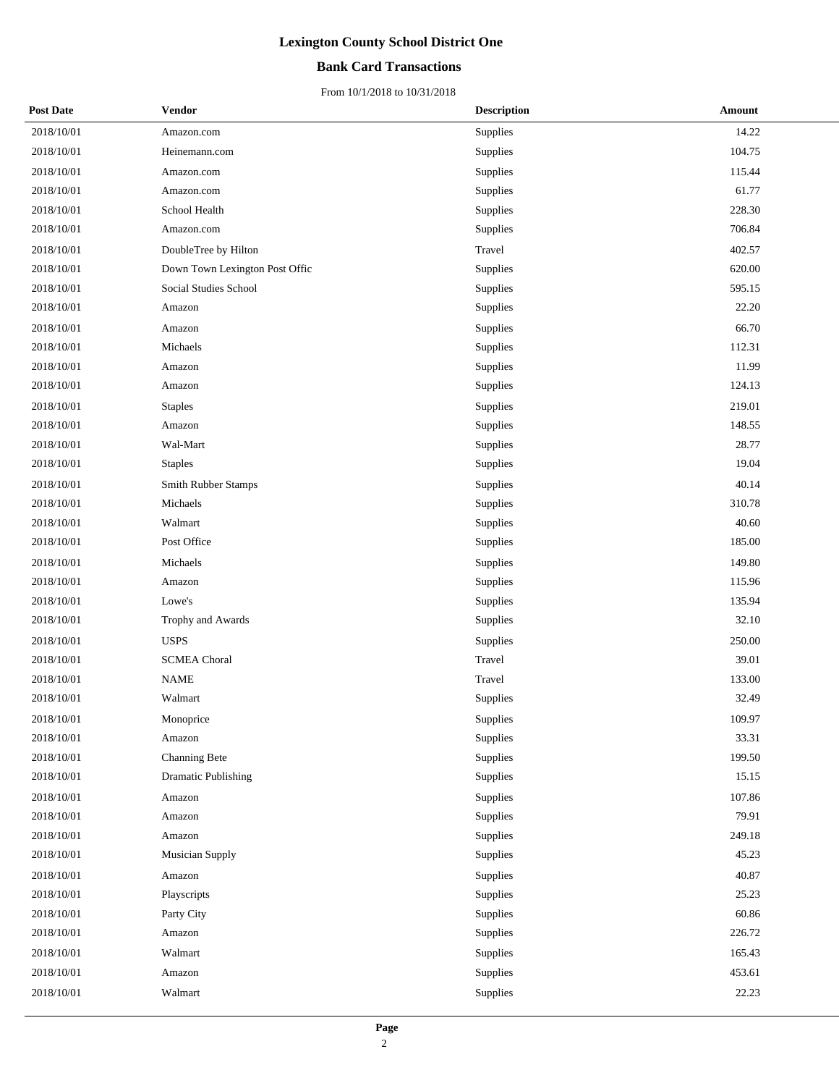## **Bank Card Transactions**

| <b>Post Date</b> | <b>Vendor</b>                  | <b>Description</b> | Amount |
|------------------|--------------------------------|--------------------|--------|
| 2018/10/01       | Amazon.com                     | Supplies           | 14.22  |
| 2018/10/01       | Heinemann.com                  | Supplies           | 104.75 |
| 2018/10/01       | Amazon.com                     | Supplies           | 115.44 |
| 2018/10/01       | Amazon.com                     | Supplies           | 61.77  |
| 2018/10/01       | School Health                  | Supplies           | 228.30 |
| 2018/10/01       | Amazon.com                     | Supplies           | 706.84 |
| 2018/10/01       | DoubleTree by Hilton           | Travel             | 402.57 |
| 2018/10/01       | Down Town Lexington Post Offic | Supplies           | 620.00 |
| 2018/10/01       | Social Studies School          | Supplies           | 595.15 |
| 2018/10/01       | Amazon                         | Supplies           | 22.20  |
| 2018/10/01       | Amazon                         | Supplies           | 66.70  |
| 2018/10/01       | Michaels                       | Supplies           | 112.31 |
| 2018/10/01       | Amazon                         | Supplies           | 11.99  |
| 2018/10/01       | Amazon                         | Supplies           | 124.13 |
| 2018/10/01       | <b>Staples</b>                 | Supplies           | 219.01 |
| 2018/10/01       | Amazon                         | Supplies           | 148.55 |
| 2018/10/01       | Wal-Mart                       | Supplies           | 28.77  |
| 2018/10/01       | <b>Staples</b>                 | Supplies           | 19.04  |
| 2018/10/01       | Smith Rubber Stamps            | Supplies           | 40.14  |
| 2018/10/01       | Michaels                       | Supplies           | 310.78 |
| 2018/10/01       | Walmart                        | Supplies           | 40.60  |
| 2018/10/01       | Post Office                    | Supplies           | 185.00 |
| 2018/10/01       | Michaels                       | Supplies           | 149.80 |
| 2018/10/01       | Amazon                         | Supplies           | 115.96 |
| 2018/10/01       | Lowe's                         | Supplies           | 135.94 |
| 2018/10/01       | Trophy and Awards              | Supplies           | 32.10  |
| 2018/10/01       | <b>USPS</b>                    | Supplies           | 250.00 |
| 2018/10/01       | <b>SCMEA Choral</b>            | Travel             | 39.01  |
| 2018/10/01       | <b>NAME</b>                    | Travel             | 133.00 |
| 2018/10/01       | Walmart                        | Supplies           | 32.49  |
| 2018/10/01       | Monoprice                      | Supplies           | 109.97 |
| 2018/10/01       | Amazon                         | Supplies           | 33.31  |
| 2018/10/01       | Channing Bete                  | Supplies           | 199.50 |
| 2018/10/01       | Dramatic Publishing            | Supplies           | 15.15  |
| 2018/10/01       | Amazon                         | Supplies           | 107.86 |
| 2018/10/01       | Amazon                         | Supplies           | 79.91  |
| 2018/10/01       | Amazon                         | Supplies           | 249.18 |
| 2018/10/01       | Musician Supply                | Supplies           | 45.23  |
| 2018/10/01       | Amazon                         | Supplies           | 40.87  |
| 2018/10/01       | Playscripts                    | Supplies           | 25.23  |
| 2018/10/01       | Party City                     | Supplies           | 60.86  |
| 2018/10/01       | Amazon                         | Supplies           | 226.72 |
| 2018/10/01       | Walmart                        | Supplies           | 165.43 |
| 2018/10/01       | Amazon                         | Supplies           | 453.61 |
| 2018/10/01       | Walmart                        | Supplies           | 22.23  |
|                  |                                |                    |        |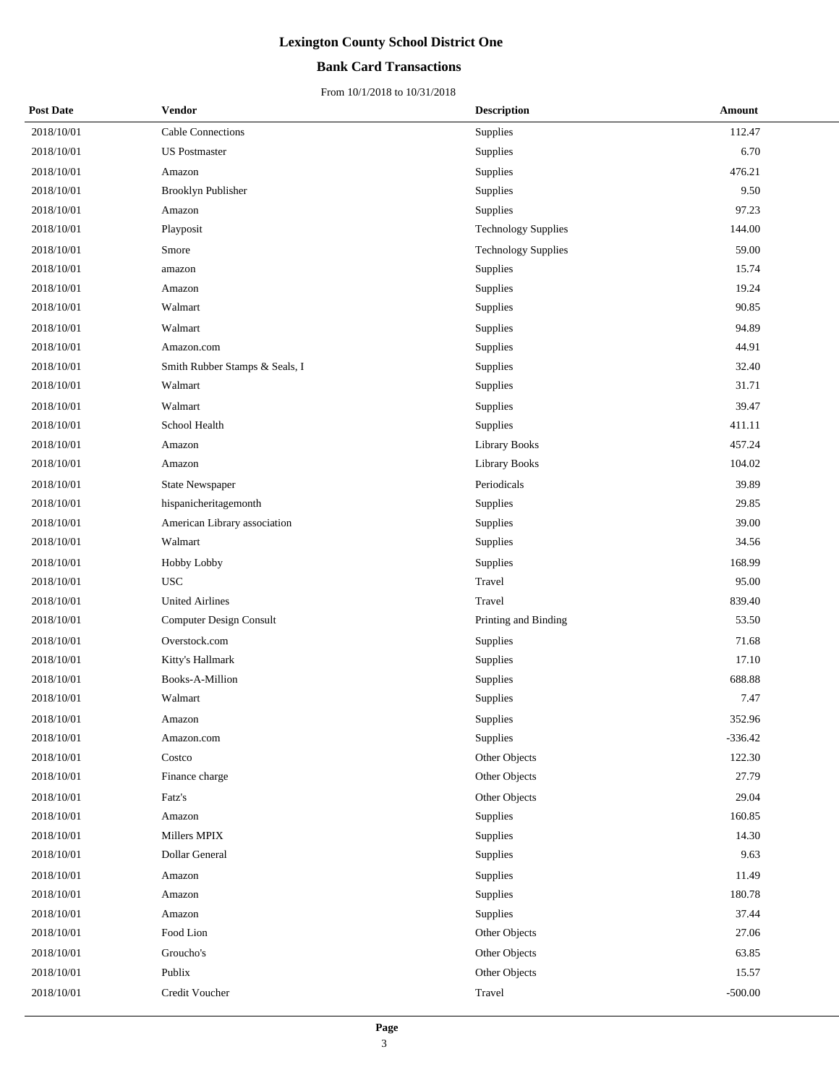## **Bank Card Transactions**

| <b>Post Date</b> | <b>Vendor</b>                  | <b>Description</b>         | Amount    |
|------------------|--------------------------------|----------------------------|-----------|
| 2018/10/01       | Cable Connections              | Supplies                   | 112.47    |
| 2018/10/01       | <b>US</b> Postmaster           | Supplies                   | 6.70      |
| 2018/10/01       | Amazon                         | Supplies                   | 476.21    |
| 2018/10/01       | Brooklyn Publisher             | Supplies                   | 9.50      |
| 2018/10/01       | Amazon                         | Supplies                   | 97.23     |
| 2018/10/01       | Playposit                      | <b>Technology Supplies</b> | 144.00    |
| 2018/10/01       | Smore                          | <b>Technology Supplies</b> | 59.00     |
| 2018/10/01       | amazon                         | Supplies                   | 15.74     |
| 2018/10/01       | Amazon                         | Supplies                   | 19.24     |
| 2018/10/01       | Walmart                        | Supplies                   | 90.85     |
| 2018/10/01       | Walmart                        | Supplies                   | 94.89     |
| 2018/10/01       | Amazon.com                     | Supplies                   | 44.91     |
| 2018/10/01       | Smith Rubber Stamps & Seals, I | Supplies                   | 32.40     |
| 2018/10/01       | Walmart                        | Supplies                   | 31.71     |
| 2018/10/01       | Walmart                        | Supplies                   | 39.47     |
| 2018/10/01       | School Health                  | Supplies                   | 411.11    |
| 2018/10/01       | Amazon                         | Library Books              | 457.24    |
| 2018/10/01       | Amazon                         | Library Books              | 104.02    |
| 2018/10/01       | <b>State Newspaper</b>         | Periodicals                | 39.89     |
| 2018/10/01       | hispanicheritagemonth          | Supplies                   | 29.85     |
| 2018/10/01       | American Library association   | Supplies                   | 39.00     |
| 2018/10/01       | Walmart                        | Supplies                   | 34.56     |
| 2018/10/01       | Hobby Lobby                    | Supplies                   | 168.99    |
| 2018/10/01       | <b>USC</b>                     | Travel                     | 95.00     |
| 2018/10/01       | <b>United Airlines</b>         | Travel                     | 839.40    |
| 2018/10/01       | Computer Design Consult        | Printing and Binding       | 53.50     |
| 2018/10/01       | Overstock.com                  | Supplies                   | 71.68     |
| 2018/10/01       | Kitty's Hallmark               | Supplies                   | 17.10     |
| 2018/10/01       | Books-A-Million                | Supplies                   | 688.88    |
| 2018/10/01       | Walmart                        | Supplies                   | 7.47      |
| 2018/10/01       | Amazon                         | Supplies                   | 352.96    |
| 2018/10/01       | Amazon.com                     | Supplies                   | $-336.42$ |
| 2018/10/01       | Costco                         | Other Objects              | 122.30    |
| 2018/10/01       | Finance charge                 | Other Objects              | 27.79     |
| 2018/10/01       | Fatz's                         | Other Objects              | 29.04     |
| 2018/10/01       | Amazon                         | Supplies                   | 160.85    |
| 2018/10/01       | Millers MPIX                   | Supplies                   | 14.30     |
| 2018/10/01       | Dollar General                 | Supplies                   | 9.63      |
| 2018/10/01       | Amazon                         | Supplies                   | 11.49     |
| 2018/10/01       | Amazon                         | Supplies                   | 180.78    |
| 2018/10/01       | Amazon                         | Supplies                   | 37.44     |
| 2018/10/01       | Food Lion                      | Other Objects              | 27.06     |
| 2018/10/01       | Groucho's                      | Other Objects              | 63.85     |
| 2018/10/01       | Publix                         | Other Objects              | 15.57     |
| 2018/10/01       | Credit Voucher                 | Travel                     | $-500.00$ |
|                  |                                |                            |           |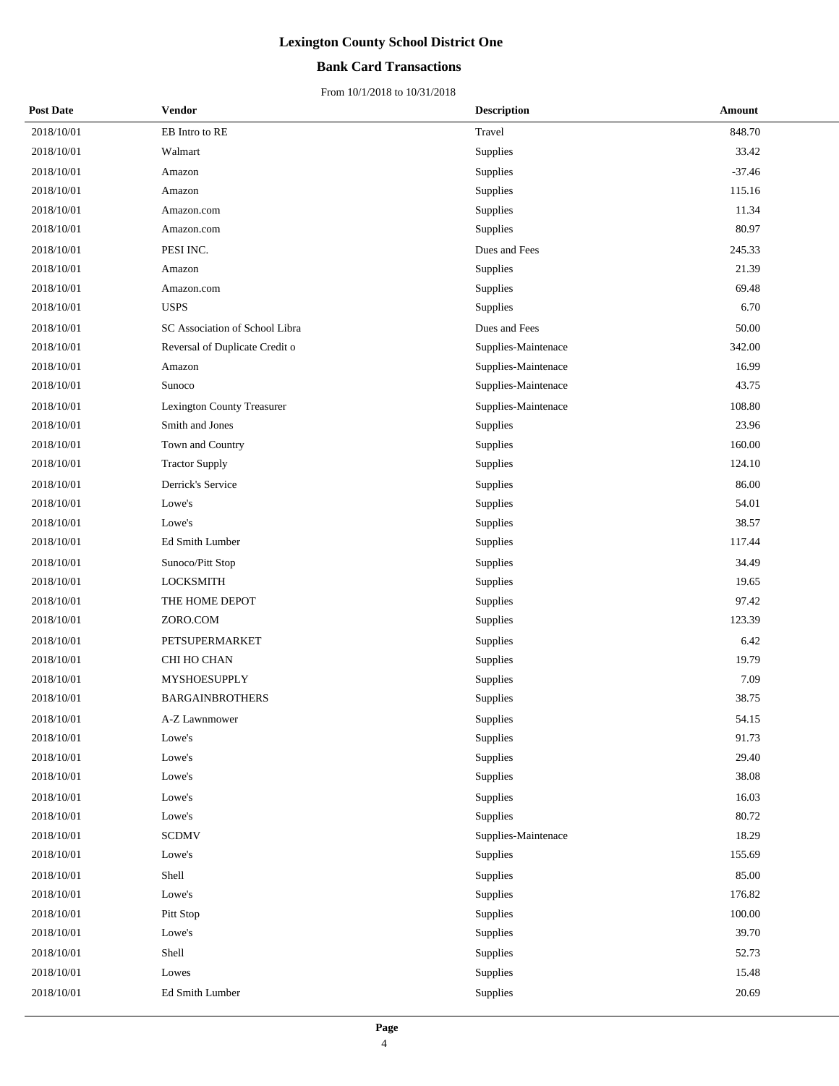## **Bank Card Transactions**

| <b>Post Date</b> | <b>Vendor</b>                  | <b>Description</b>  | Amount     |
|------------------|--------------------------------|---------------------|------------|
| 2018/10/01       | EB Intro to RE                 | Travel              | 848.70     |
| 2018/10/01       | Walmart                        | Supplies            | 33.42      |
| 2018/10/01       | Amazon                         | Supplies            | $-37.46$   |
| 2018/10/01       | Amazon                         | Supplies            | 115.16     |
| 2018/10/01       | Amazon.com                     | Supplies            | 11.34      |
| 2018/10/01       | Amazon.com                     | Supplies            | 80.97      |
| 2018/10/01       | PESI INC.                      | Dues and Fees       | 245.33     |
| 2018/10/01       | Amazon                         | Supplies            | 21.39      |
| 2018/10/01       | Amazon.com                     | Supplies            | 69.48      |
| 2018/10/01       | <b>USPS</b>                    | Supplies            | 6.70       |
| 2018/10/01       | SC Association of School Libra | Dues and Fees       | 50.00      |
| 2018/10/01       | Reversal of Duplicate Credit o | Supplies-Maintenace | 342.00     |
| 2018/10/01       | Amazon                         | Supplies-Maintenace | 16.99      |
| 2018/10/01       | Sunoco                         | Supplies-Maintenace | 43.75      |
| 2018/10/01       | Lexington County Treasurer     | Supplies-Maintenace | 108.80     |
| 2018/10/01       | Smith and Jones                | Supplies            | 23.96      |
| 2018/10/01       | Town and Country               | Supplies            | 160.00     |
| 2018/10/01       | <b>Tractor Supply</b>          | Supplies            | 124.10     |
| 2018/10/01       | Derrick's Service              | Supplies            | 86.00      |
| 2018/10/01       | Lowe's                         | Supplies            | 54.01      |
| 2018/10/01       | Lowe's                         | Supplies            | 38.57      |
| 2018/10/01       | Ed Smith Lumber                | Supplies            | 117.44     |
| 2018/10/01       | Sunoco/Pitt Stop               | Supplies            | 34.49      |
| 2018/10/01       | <b>LOCKSMITH</b>               | Supplies            | 19.65      |
| 2018/10/01       | THE HOME DEPOT                 | Supplies            | 97.42      |
| 2018/10/01       | ZORO.COM                       | Supplies            | 123.39     |
| 2018/10/01       | PETSUPERMARKET                 | Supplies            | 6.42       |
| 2018/10/01       | CHI HO CHAN                    | Supplies            | 19.79      |
| 2018/10/01       | MYSHOESUPPLY                   | Supplies            | 7.09       |
| 2018/10/01       | <b>BARGAINBROTHERS</b>         | Supplies            | 38.75      |
| 2018/10/01       | A-Z Lawnmower                  | Supplies            | 54.15      |
| 2018/10/01       | Lowe's                         | Supplies            | 91.73      |
| 2018/10/01       | Lowe's                         | Supplies            | 29.40      |
| 2018/10/01       | Lowe's                         | Supplies            | 38.08      |
| 2018/10/01       | Lowe's                         | Supplies            | 16.03      |
| 2018/10/01       | Lowe's                         | Supplies            | 80.72      |
| 2018/10/01       | <b>SCDMV</b>                   | Supplies-Maintenace | 18.29      |
| 2018/10/01       | Lowe's                         | Supplies            | 155.69     |
| 2018/10/01       | Shell                          | Supplies            | 85.00      |
| 2018/10/01       | Lowe's                         | Supplies            | 176.82     |
| 2018/10/01       | Pitt Stop                      | Supplies            | $100.00\,$ |
| 2018/10/01       | Lowe's                         | Supplies            | 39.70      |
| 2018/10/01       | Shell                          | Supplies            | 52.73      |
| 2018/10/01       | Lowes                          | Supplies            | 15.48      |
| 2018/10/01       | Ed Smith Lumber                | Supplies            | 20.69      |
|                  |                                |                     |            |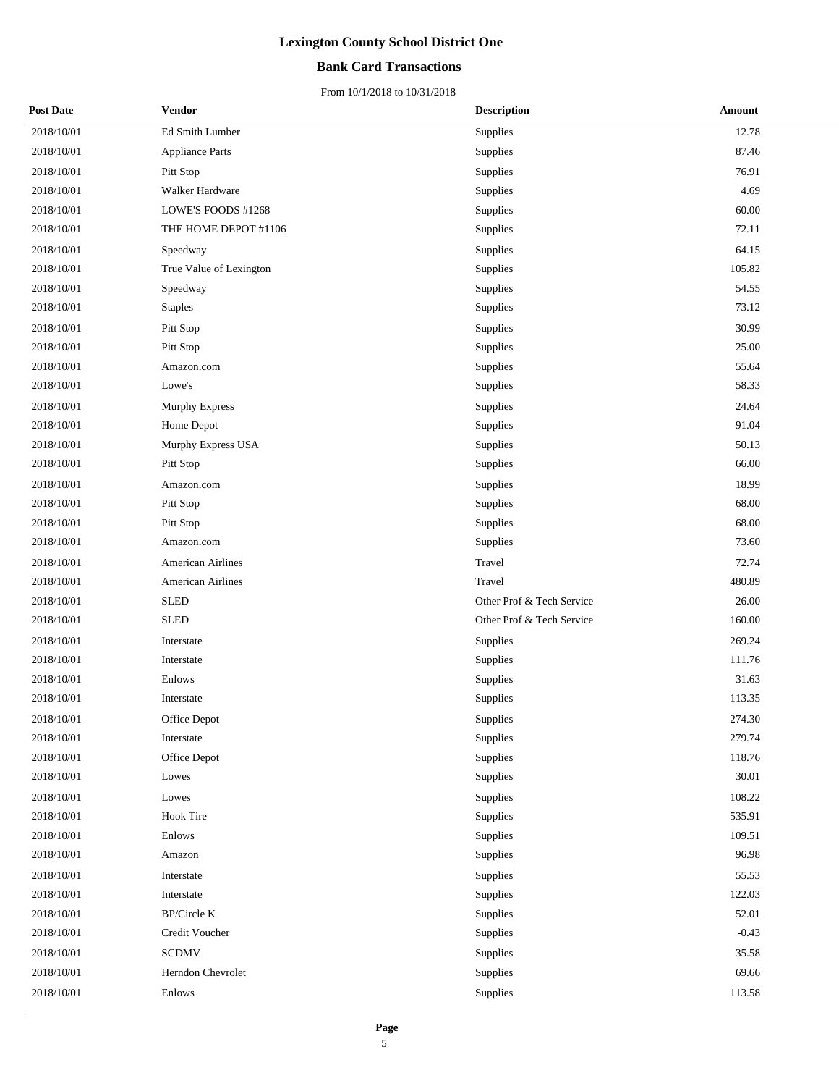## **Bank Card Transactions**

| <b>Post Date</b> | Vendor                   | <b>Description</b>        | Amount    |
|------------------|--------------------------|---------------------------|-----------|
| 2018/10/01       | Ed Smith Lumber          | Supplies                  | 12.78     |
| 2018/10/01       | <b>Appliance Parts</b>   | Supplies                  | 87.46     |
| 2018/10/01       | Pitt Stop                | Supplies                  | 76.91     |
| 2018/10/01       | Walker Hardware          | Supplies                  | 4.69      |
| 2018/10/01       | LOWE'S FOODS #1268       | Supplies                  | 60.00     |
| 2018/10/01       | THE HOME DEPOT #1106     | Supplies                  | 72.11     |
| 2018/10/01       | Speedway                 | Supplies                  | 64.15     |
| 2018/10/01       | True Value of Lexington  | Supplies                  | 105.82    |
| 2018/10/01       | Speedway                 | Supplies                  | 54.55     |
| 2018/10/01       | <b>Staples</b>           | Supplies                  | 73.12     |
| 2018/10/01       | Pitt Stop                | Supplies                  | 30.99     |
| 2018/10/01       | Pitt Stop                | Supplies                  | 25.00     |
| 2018/10/01       | Amazon.com               | Supplies                  | 55.64     |
| 2018/10/01       | Lowe's                   | Supplies                  | 58.33     |
| 2018/10/01       | <b>Murphy Express</b>    | Supplies                  | 24.64     |
| 2018/10/01       | Home Depot               | Supplies                  | 91.04     |
| 2018/10/01       | Murphy Express USA       | <b>Supplies</b>           | 50.13     |
| 2018/10/01       | Pitt Stop                | Supplies                  | 66.00     |
| 2018/10/01       | Amazon.com               | Supplies                  | 18.99     |
| 2018/10/01       | Pitt Stop                | Supplies                  | 68.00     |
| 2018/10/01       | Pitt Stop                | Supplies                  | 68.00     |
| 2018/10/01       | Amazon.com               | Supplies                  | 73.60     |
| 2018/10/01       | <b>American Airlines</b> | Travel                    | 72.74     |
| 2018/10/01       | American Airlines        | Travel                    | 480.89    |
| 2018/10/01       | <b>SLED</b>              | Other Prof & Tech Service | 26.00     |
| 2018/10/01       | <b>SLED</b>              | Other Prof & Tech Service | 160.00    |
| 2018/10/01       | Interstate               | Supplies                  | 269.24    |
| 2018/10/01       | Interstate               | Supplies                  | 111.76    |
| 2018/10/01       | Enlows                   | Supplies                  | 31.63     |
| 2018/10/01       | Interstate               | Supplies                  | 113.35    |
| 2018/10/01       | Office Depot             | Supplies                  | 274.30    |
| 2018/10/01       | Interstate               | <b>Supplies</b>           | 279.74    |
| 2018/10/01       | Office Depot             | Supplies                  | 118.76    |
| 2018/10/01       | Lowes                    | Supplies                  | $30.01\,$ |
| 2018/10/01       | Lowes                    | Supplies                  | 108.22    |
| 2018/10/01       | <b>Hook Tire</b>         | Supplies                  | 535.91    |
| 2018/10/01       | Enlows                   | Supplies                  | 109.51    |
| 2018/10/01       | Amazon                   | Supplies                  | 96.98     |
| 2018/10/01       | Interstate               | Supplies                  | 55.53     |
| 2018/10/01       | Interstate               | Supplies                  | 122.03    |
| 2018/10/01       | BP/Circle K              | Supplies                  | 52.01     |
| 2018/10/01       | Credit Voucher           | Supplies                  | $-0.43$   |
| 2018/10/01       | <b>SCDMV</b>             | Supplies                  | 35.58     |
| 2018/10/01       | Herndon Chevrolet        | Supplies                  | 69.66     |
| 2018/10/01       | Enlows                   | Supplies                  | 113.58    |
|                  |                          |                           |           |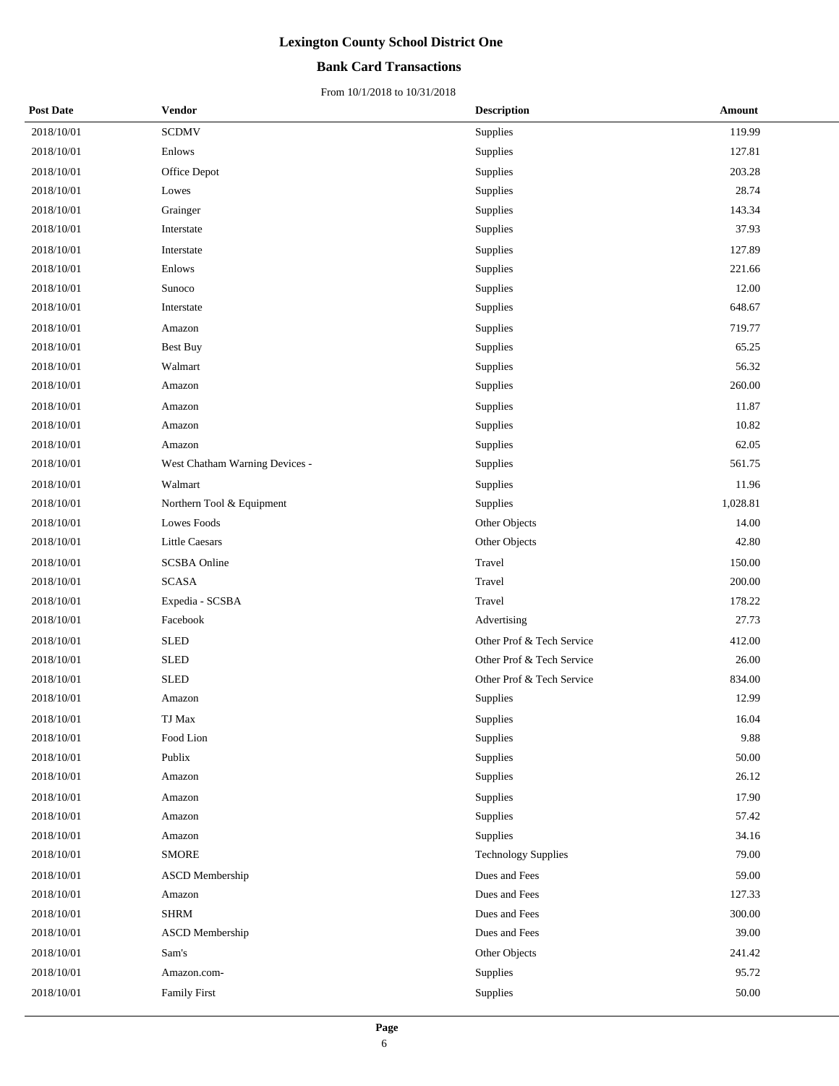### **Bank Card Transactions**

| <b>Post Date</b> | Vendor                         | <b>Description</b>         | Amount   |
|------------------|--------------------------------|----------------------------|----------|
| 2018/10/01       | <b>SCDMV</b>                   | Supplies                   | 119.99   |
| 2018/10/01       | Enlows                         | Supplies                   | 127.81   |
| 2018/10/01       | Office Depot                   | Supplies                   | 203.28   |
| 2018/10/01       | Lowes                          | Supplies                   | 28.74    |
| 2018/10/01       | Grainger                       | Supplies                   | 143.34   |
| 2018/10/01       | Interstate                     | Supplies                   | 37.93    |
| 2018/10/01       | Interstate                     | Supplies                   | 127.89   |
| 2018/10/01       | Enlows                         | Supplies                   | 221.66   |
| 2018/10/01       | Sunoco                         | Supplies                   | 12.00    |
| 2018/10/01       | Interstate                     | Supplies                   | 648.67   |
| 2018/10/01       | Amazon                         | Supplies                   | 719.77   |
| 2018/10/01       | Best Buy                       | Supplies                   | 65.25    |
| 2018/10/01       | Walmart                        | Supplies                   | 56.32    |
| 2018/10/01       | Amazon                         | Supplies                   | 260.00   |
| 2018/10/01       | Amazon                         | Supplies                   | 11.87    |
| 2018/10/01       | Amazon                         | Supplies                   | 10.82    |
| 2018/10/01       | Amazon                         | Supplies                   | 62.05    |
| 2018/10/01       | West Chatham Warning Devices - | Supplies                   | 561.75   |
| 2018/10/01       | Walmart                        | Supplies                   | 11.96    |
| 2018/10/01       | Northern Tool & Equipment      | Supplies                   | 1,028.81 |
| 2018/10/01       | Lowes Foods                    | Other Objects              | 14.00    |
| 2018/10/01       | <b>Little Caesars</b>          | Other Objects              | 42.80    |
| 2018/10/01       | <b>SCSBA</b> Online            | Travel                     | 150.00   |
| 2018/10/01       | <b>SCASA</b>                   | Travel                     | 200.00   |
| 2018/10/01       | Expedia - SCSBA                | Travel                     | 178.22   |
| 2018/10/01       | Facebook                       | Advertising                | 27.73    |
| 2018/10/01       | <b>SLED</b>                    | Other Prof & Tech Service  | 412.00   |
| 2018/10/01       | <b>SLED</b>                    | Other Prof & Tech Service  | 26.00    |
| 2018/10/01       | <b>SLED</b>                    | Other Prof & Tech Service  | 834.00   |
| 2018/10/01       | Amazon                         | Supplies                   | 12.99    |
| 2018/10/01       | TJ Max                         | Supplies                   | 16.04    |
| 2018/10/01       | Food Lion                      | Supplies                   | 9.88     |
| 2018/10/01       | Publix                         | Supplies                   | 50.00    |
| 2018/10/01       | Amazon                         | Supplies                   | 26.12    |
| 2018/10/01       | Amazon                         | Supplies                   | 17.90    |
| 2018/10/01       | Amazon                         | Supplies                   | 57.42    |
| 2018/10/01       | Amazon                         | Supplies                   | 34.16    |
| 2018/10/01       | <b>SMORE</b>                   | <b>Technology Supplies</b> | 79.00    |
| 2018/10/01       | <b>ASCD</b> Membership         | Dues and Fees              | 59.00    |
| 2018/10/01       | Amazon                         | Dues and Fees              | 127.33   |
| 2018/10/01       | <b>SHRM</b>                    | Dues and Fees              | 300.00   |
| 2018/10/01       | ASCD Membership                | Dues and Fees              | 39.00    |
| 2018/10/01       | Sam's                          | Other Objects              | 241.42   |
| 2018/10/01       | Amazon.com-                    | Supplies                   | 95.72    |
| 2018/10/01       | <b>Family First</b>            | Supplies                   | 50.00    |
|                  |                                |                            |          |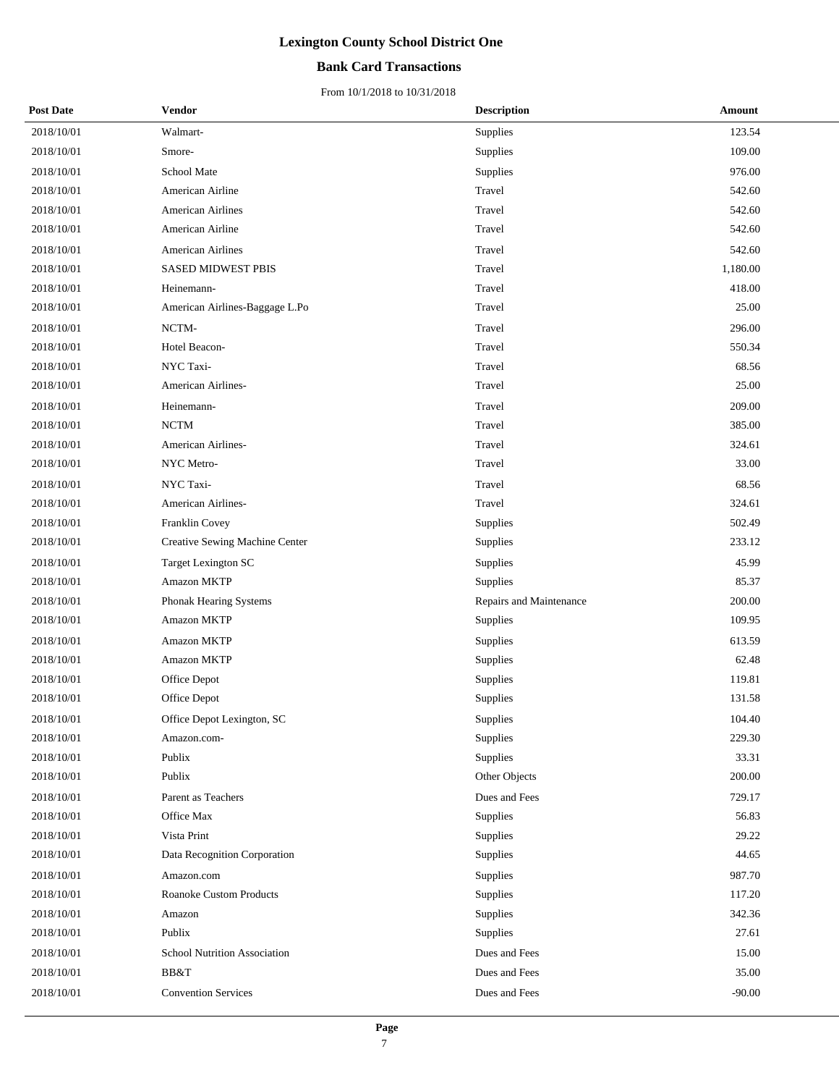## **Bank Card Transactions**

| <b>Post Date</b> | Vendor                              | <b>Description</b>      | Amount   |
|------------------|-------------------------------------|-------------------------|----------|
| 2018/10/01       | Walmart-                            | Supplies                | 123.54   |
| 2018/10/01       | Smore-                              | Supplies                | 109.00   |
| 2018/10/01       | School Mate                         | Supplies                | 976.00   |
| 2018/10/01       | American Airline                    | Travel                  | 542.60   |
| 2018/10/01       | <b>American Airlines</b>            | Travel                  | 542.60   |
| 2018/10/01       | American Airline                    | Travel                  | 542.60   |
| 2018/10/01       | <b>American Airlines</b>            | Travel                  | 542.60   |
| 2018/10/01       | <b>SASED MIDWEST PBIS</b>           | Travel                  | 1,180.00 |
| 2018/10/01       | Heinemann-                          | Travel                  | 418.00   |
| 2018/10/01       | American Airlines-Baggage L.Po      | Travel                  | 25.00    |
| 2018/10/01       | NCTM-                               | Travel                  | 296.00   |
| 2018/10/01       | Hotel Beacon-                       | Travel                  | 550.34   |
| 2018/10/01       | NYC Taxi-                           | Travel                  | 68.56    |
| 2018/10/01       | American Airlines-                  | Travel                  | 25.00    |
| 2018/10/01       | Heinemann-                          | Travel                  | 209.00   |
| 2018/10/01       | <b>NCTM</b>                         | Travel                  | 385.00   |
| 2018/10/01       | American Airlines-                  | Travel                  | 324.61   |
| 2018/10/01       | NYC Metro-                          | Travel                  | 33.00    |
| 2018/10/01       | NYC Taxi-                           | Travel                  | 68.56    |
| 2018/10/01       | American Airlines-                  | Travel                  | 324.61   |
| 2018/10/01       | Franklin Covey                      | Supplies                | 502.49   |
| 2018/10/01       | Creative Sewing Machine Center      | Supplies                | 233.12   |
| 2018/10/01       | <b>Target Lexington SC</b>          | Supplies                | 45.99    |
| 2018/10/01       | Amazon MKTP                         | Supplies                | 85.37    |
| 2018/10/01       | Phonak Hearing Systems              | Repairs and Maintenance | 200.00   |
| 2018/10/01       | Amazon MKTP                         | Supplies                | 109.95   |
| 2018/10/01       | <b>Amazon MKTP</b>                  | Supplies                | 613.59   |
| 2018/10/01       | Amazon MKTP                         | Supplies                | 62.48    |
| 2018/10/01       | Office Depot                        | Supplies                | 119.81   |
| 2018/10/01       | Office Depot                        | Supplies                | 131.58   |
| 2018/10/01       | Office Depot Lexington, SC          | Supplies                | 104.40   |
| 2018/10/01       | Amazon.com-                         | Supplies                | 229.30   |
| 2018/10/01       | Publix                              | Supplies                | 33.31    |
| 2018/10/01       | Publix                              | Other Objects           | 200.00   |
| 2018/10/01       | Parent as Teachers                  | Dues and Fees           | 729.17   |
| 2018/10/01       | Office Max                          | Supplies                | 56.83    |
| 2018/10/01       | Vista Print                         | Supplies                | 29.22    |
| 2018/10/01       | Data Recognition Corporation        | Supplies                | 44.65    |
| 2018/10/01       | Amazon.com                          | Supplies                | 987.70   |
| 2018/10/01       | <b>Roanoke Custom Products</b>      | Supplies                | 117.20   |
| 2018/10/01       | Amazon                              | Supplies                | 342.36   |
| 2018/10/01       | Publix                              | Supplies                | 27.61    |
| 2018/10/01       | <b>School Nutrition Association</b> | Dues and Fees           | 15.00    |
| 2018/10/01       | BB&T                                | Dues and Fees           | 35.00    |
| 2018/10/01       | <b>Convention Services</b>          | Dues and Fees           | $-90.00$ |
|                  |                                     |                         |          |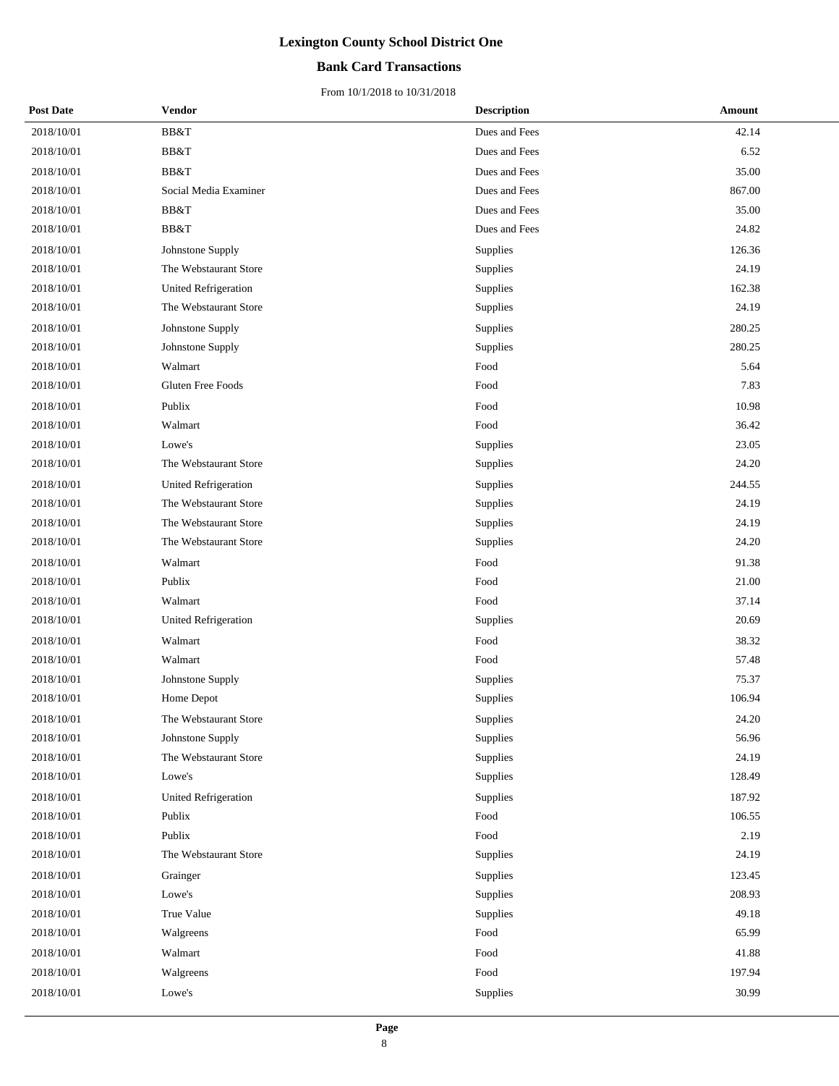## **Bank Card Transactions**

| <b>Post Date</b> | Vendor                      | <b>Description</b> | Amount |
|------------------|-----------------------------|--------------------|--------|
| 2018/10/01       | BB&T                        | Dues and Fees      | 42.14  |
| 2018/10/01       | BB&T                        | Dues and Fees      | 6.52   |
| 2018/10/01       | BB&T                        | Dues and Fees      | 35.00  |
| 2018/10/01       | Social Media Examiner       | Dues and Fees      | 867.00 |
| 2018/10/01       | BB&T                        | Dues and Fees      | 35.00  |
| 2018/10/01       | BB&T                        | Dues and Fees      | 24.82  |
| 2018/10/01       | Johnstone Supply            | Supplies           | 126.36 |
| 2018/10/01       | The Webstaurant Store       | Supplies           | 24.19  |
| 2018/10/01       | United Refrigeration        | Supplies           | 162.38 |
| 2018/10/01       | The Webstaurant Store       | Supplies           | 24.19  |
| 2018/10/01       | Johnstone Supply            | Supplies           | 280.25 |
| 2018/10/01       | Johnstone Supply            | Supplies           | 280.25 |
| 2018/10/01       | Walmart                     | Food               | 5.64   |
| 2018/10/01       | Gluten Free Foods           | Food               | 7.83   |
| 2018/10/01       | Publix                      | Food               | 10.98  |
| 2018/10/01       | Walmart                     | Food               | 36.42  |
| 2018/10/01       | Lowe's                      | Supplies           | 23.05  |
| 2018/10/01       | The Webstaurant Store       | Supplies           | 24.20  |
| 2018/10/01       | United Refrigeration        | Supplies           | 244.55 |
| 2018/10/01       | The Webstaurant Store       | Supplies           | 24.19  |
| 2018/10/01       | The Webstaurant Store       | Supplies           | 24.19  |
| 2018/10/01       | The Webstaurant Store       | Supplies           | 24.20  |
| 2018/10/01       | Walmart                     | Food               | 91.38  |
| 2018/10/01       | Publix                      | Food               | 21.00  |
| 2018/10/01       | Walmart                     | Food               | 37.14  |
| 2018/10/01       | <b>United Refrigeration</b> | Supplies           | 20.69  |
| 2018/10/01       | Walmart                     | Food               | 38.32  |
| 2018/10/01       | Walmart                     | Food               | 57.48  |
| 2018/10/01       | Johnstone Supply            | Supplies           | 75.37  |
| 2018/10/01       | Home Depot                  | Supplies           | 106.94 |
| 2018/10/01       | The Webstaurant Store       | Supplies           | 24.20  |
| 2018/10/01       | Johnstone Supply            | Supplies           | 56.96  |
| 2018/10/01       | The Webstaurant Store       | Supplies           | 24.19  |
| 2018/10/01       | Lowe's                      | Supplies           | 128.49 |
| 2018/10/01       | <b>United Refrigeration</b> | Supplies           | 187.92 |
| 2018/10/01       | Publix                      | Food               | 106.55 |
| 2018/10/01       | Publix                      | Food               | 2.19   |
| 2018/10/01       | The Webstaurant Store       | Supplies           | 24.19  |
| 2018/10/01       | Grainger                    | Supplies           | 123.45 |
| 2018/10/01       | Lowe's                      | Supplies           | 208.93 |
| 2018/10/01       | True Value                  | Supplies           | 49.18  |
| 2018/10/01       | Walgreens                   | Food               | 65.99  |
| 2018/10/01       | Walmart                     | Food               | 41.88  |
| 2018/10/01       | Walgreens                   | Food               | 197.94 |
| 2018/10/01       | Lowe's                      | Supplies           | 30.99  |
|                  |                             |                    |        |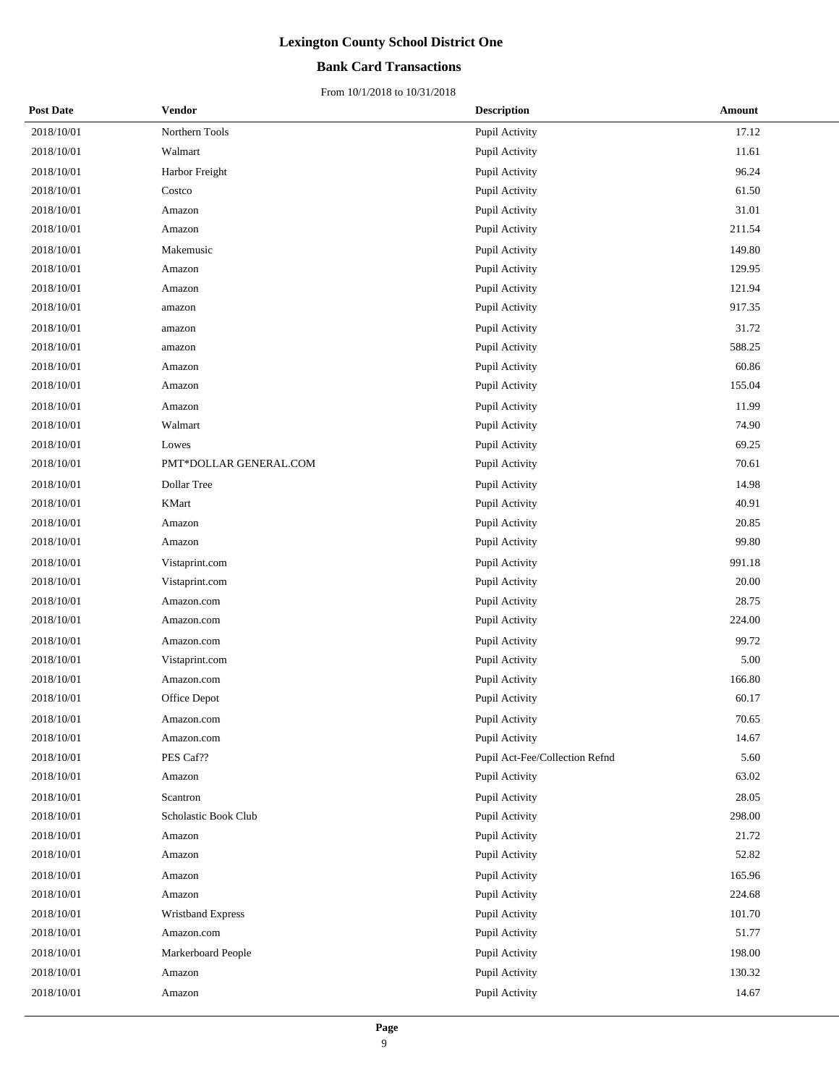## **Bank Card Transactions**

| <b>Post Date</b> | Vendor                 | <b>Description</b>             | Amount |
|------------------|------------------------|--------------------------------|--------|
| 2018/10/01       | Northern Tools         | Pupil Activity                 | 17.12  |
| 2018/10/01       | Walmart                | Pupil Activity                 | 11.61  |
| 2018/10/01       | Harbor Freight         | Pupil Activity                 | 96.24  |
| 2018/10/01       | Costco                 | Pupil Activity                 | 61.50  |
| 2018/10/01       | Amazon                 | Pupil Activity                 | 31.01  |
| 2018/10/01       | Amazon                 | Pupil Activity                 | 211.54 |
| 2018/10/01       | Makemusic              | Pupil Activity                 | 149.80 |
| 2018/10/01       | Amazon                 | Pupil Activity                 | 129.95 |
| 2018/10/01       | Amazon                 | Pupil Activity                 | 121.94 |
| 2018/10/01       | amazon                 | Pupil Activity                 | 917.35 |
| 2018/10/01       | amazon                 | Pupil Activity                 | 31.72  |
| 2018/10/01       | amazon                 | Pupil Activity                 | 588.25 |
| 2018/10/01       | Amazon                 | Pupil Activity                 | 60.86  |
| 2018/10/01       | Amazon                 | Pupil Activity                 | 155.04 |
| 2018/10/01       | Amazon                 | Pupil Activity                 | 11.99  |
| 2018/10/01       | Walmart                | Pupil Activity                 | 74.90  |
| 2018/10/01       | Lowes                  | Pupil Activity                 | 69.25  |
| 2018/10/01       | PMT*DOLLAR GENERAL.COM | Pupil Activity                 | 70.61  |
| 2018/10/01       | Dollar Tree            | Pupil Activity                 | 14.98  |
| 2018/10/01       | <b>KMart</b>           | Pupil Activity                 | 40.91  |
| 2018/10/01       | Amazon                 | Pupil Activity                 | 20.85  |
| 2018/10/01       | Amazon                 | Pupil Activity                 | 99.80  |
| 2018/10/01       | Vistaprint.com         | Pupil Activity                 | 991.18 |
| 2018/10/01       | Vistaprint.com         | Pupil Activity                 | 20.00  |
| 2018/10/01       | Amazon.com             | Pupil Activity                 | 28.75  |
| 2018/10/01       | Amazon.com             | Pupil Activity                 | 224.00 |
| 2018/10/01       | Amazon.com             | Pupil Activity                 | 99.72  |
| 2018/10/01       | Vistaprint.com         | Pupil Activity                 | 5.00   |
| 2018/10/01       | Amazon.com             | Pupil Activity                 | 166.80 |
| 2018/10/01       | Office Depot           | Pupil Activity                 | 60.17  |
| 2018/10/01       | Amazon.com             | Pupil Activity                 | 70.65  |
| 2018/10/01       | Amazon.com             | Pupil Activity                 | 14.67  |
| 2018/10/01       | PES Caf??              | Pupil Act-Fee/Collection Refnd | 5.60   |
| 2018/10/01       | Amazon                 | Pupil Activity                 | 63.02  |
| 2018/10/01       | Scantron               | Pupil Activity                 | 28.05  |
| 2018/10/01       | Scholastic Book Club   | Pupil Activity                 | 298.00 |
| 2018/10/01       | Amazon                 | Pupil Activity                 | 21.72  |
| 2018/10/01       | Amazon                 | Pupil Activity                 | 52.82  |
| 2018/10/01       | Amazon                 | Pupil Activity                 | 165.96 |
| 2018/10/01       | Amazon                 | Pupil Activity                 | 224.68 |
| 2018/10/01       | Wristband Express      | Pupil Activity                 | 101.70 |
| 2018/10/01       | Amazon.com             | Pupil Activity                 | 51.77  |
| 2018/10/01       | Markerboard People     | Pupil Activity                 | 198.00 |
| 2018/10/01       | Amazon                 | Pupil Activity                 | 130.32 |
| 2018/10/01       | Amazon                 | Pupil Activity                 | 14.67  |
|                  |                        |                                |        |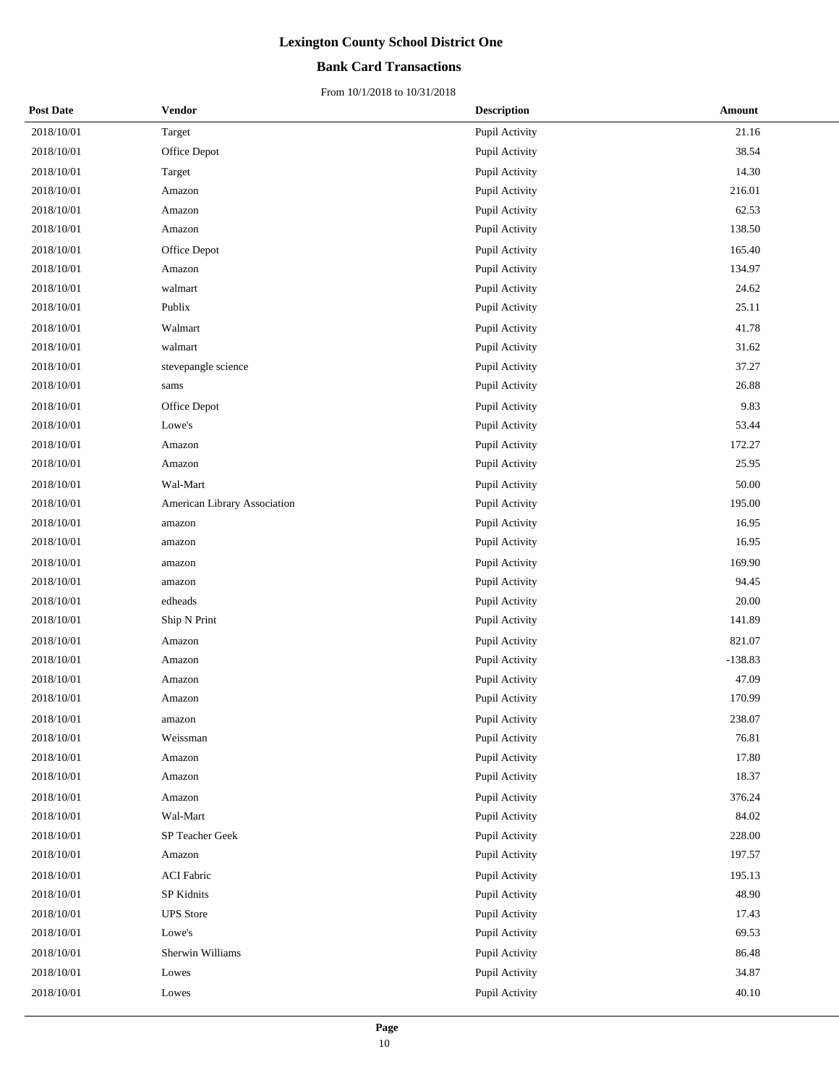## **Bank Card Transactions**

| <b>Post Date</b> | Vendor                       | <b>Description</b> | Amount    |
|------------------|------------------------------|--------------------|-----------|
| 2018/10/01       | Target                       | Pupil Activity     | 21.16     |
| 2018/10/01       | Office Depot                 | Pupil Activity     | 38.54     |
| 2018/10/01       | Target                       | Pupil Activity     | 14.30     |
| 2018/10/01       | Amazon                       | Pupil Activity     | 216.01    |
| 2018/10/01       | Amazon                       | Pupil Activity     | 62.53     |
| 2018/10/01       | Amazon                       | Pupil Activity     | 138.50    |
| 2018/10/01       | Office Depot                 | Pupil Activity     | 165.40    |
| 2018/10/01       | Amazon                       | Pupil Activity     | 134.97    |
| 2018/10/01       | walmart                      | Pupil Activity     | 24.62     |
| 2018/10/01       | Publix                       | Pupil Activity     | 25.11     |
| 2018/10/01       | Walmart                      | Pupil Activity     | 41.78     |
| 2018/10/01       | walmart                      | Pupil Activity     | 31.62     |
| 2018/10/01       | stevepangle science          | Pupil Activity     | 37.27     |
| 2018/10/01       | sams                         | Pupil Activity     | 26.88     |
| 2018/10/01       | Office Depot                 | Pupil Activity     | 9.83      |
| 2018/10/01       | Lowe's                       | Pupil Activity     | 53.44     |
| 2018/10/01       | Amazon                       | Pupil Activity     | 172.27    |
| 2018/10/01       | Amazon                       | Pupil Activity     | 25.95     |
| 2018/10/01       | Wal-Mart                     | Pupil Activity     | 50.00     |
| 2018/10/01       | American Library Association | Pupil Activity     | 195.00    |
| 2018/10/01       | amazon                       | Pupil Activity     | 16.95     |
| 2018/10/01       | amazon                       | Pupil Activity     | 16.95     |
| 2018/10/01       | amazon                       | Pupil Activity     | 169.90    |
| 2018/10/01       | amazon                       | Pupil Activity     | 94.45     |
| 2018/10/01       | edheads                      | Pupil Activity     | 20.00     |
| 2018/10/01       | Ship N Print                 | Pupil Activity     | 141.89    |
| 2018/10/01       | Amazon                       | Pupil Activity     | 821.07    |
| 2018/10/01       | Amazon                       | Pupil Activity     | $-138.83$ |
| 2018/10/01       | Amazon                       | Pupil Activity     | 47.09     |
| 2018/10/01       | Amazon                       | Pupil Activity     | 170.99    |
| 2018/10/01       | amazon                       | Pupil Activity     | 238.07    |
| 2018/10/01       | Weissman                     | Pupil Activity     | 76.81     |
| 2018/10/01       | Amazon                       | Pupil Activity     | 17.80     |
| 2018/10/01       | Amazon                       | Pupil Activity     | 18.37     |
| 2018/10/01       | Amazon                       | Pupil Activity     | 376.24    |
| 2018/10/01       | Wal-Mart                     | Pupil Activity     | 84.02     |
| 2018/10/01       | SP Teacher Geek              | Pupil Activity     | 228.00    |
| 2018/10/01       | Amazon                       | Pupil Activity     | 197.57    |
| 2018/10/01       | <b>ACI Fabric</b>            | Pupil Activity     | 195.13    |
| 2018/10/01       | SP Kidnits                   | Pupil Activity     | 48.90     |
| 2018/10/01       | <b>UPS</b> Store             | Pupil Activity     | 17.43     |
| 2018/10/01       | Lowe's                       | Pupil Activity     | 69.53     |
| 2018/10/01       | Sherwin Williams             | Pupil Activity     | 86.48     |
| 2018/10/01       | Lowes                        | Pupil Activity     | 34.87     |
| 2018/10/01       | Lowes                        | Pupil Activity     | 40.10     |
|                  |                              |                    |           |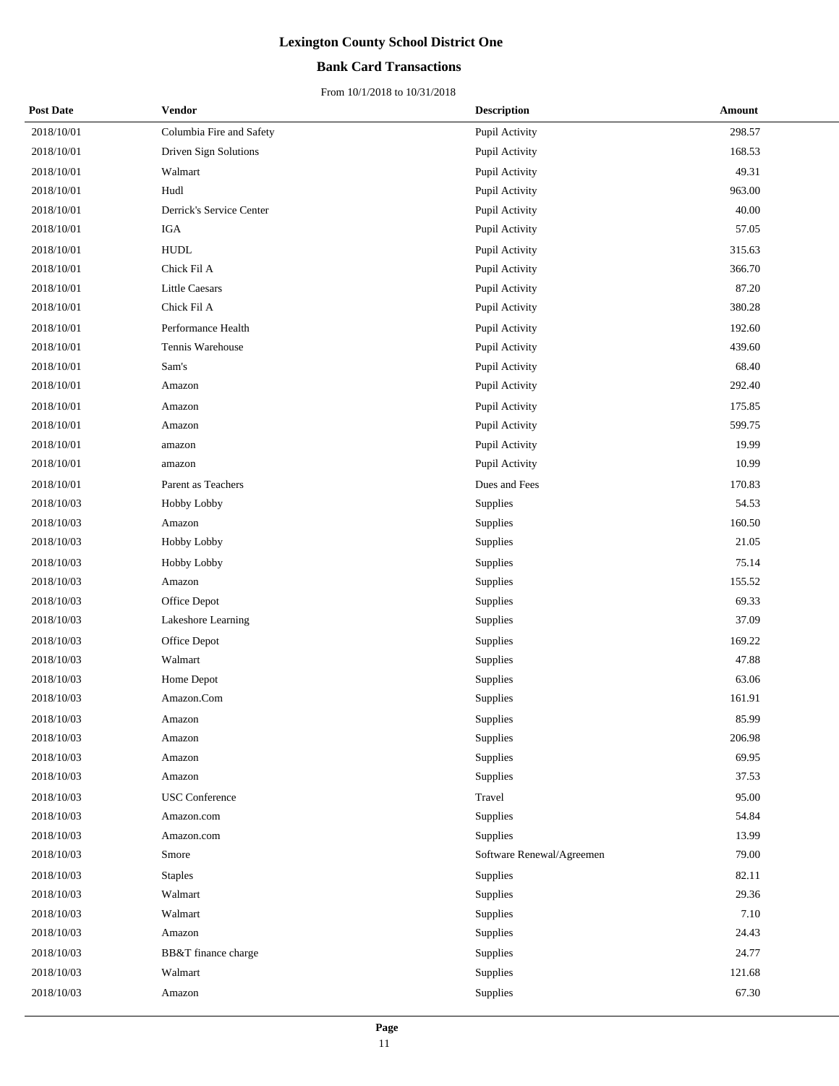## **Bank Card Transactions**

| <b>Post Date</b> | Vendor                   | <b>Description</b>        | Amount |
|------------------|--------------------------|---------------------------|--------|
| 2018/10/01       | Columbia Fire and Safety | Pupil Activity            | 298.57 |
| 2018/10/01       | Driven Sign Solutions    | Pupil Activity            | 168.53 |
| 2018/10/01       | Walmart                  | Pupil Activity            | 49.31  |
| 2018/10/01       | Hudl                     | Pupil Activity            | 963.00 |
| 2018/10/01       | Derrick's Service Center | Pupil Activity            | 40.00  |
| 2018/10/01       | IGA                      | Pupil Activity            | 57.05  |
| 2018/10/01       | ${\tt HUDL}$             | Pupil Activity            | 315.63 |
| 2018/10/01       | Chick Fil A              | Pupil Activity            | 366.70 |
| 2018/10/01       | <b>Little Caesars</b>    | Pupil Activity            | 87.20  |
| 2018/10/01       | Chick Fil A              | Pupil Activity            | 380.28 |
| 2018/10/01       | Performance Health       | Pupil Activity            | 192.60 |
| 2018/10/01       | Tennis Warehouse         | Pupil Activity            | 439.60 |
| 2018/10/01       | Sam's                    | Pupil Activity            | 68.40  |
| 2018/10/01       | Amazon                   | Pupil Activity            | 292.40 |
| 2018/10/01       | Amazon                   | Pupil Activity            | 175.85 |
| 2018/10/01       | Amazon                   | Pupil Activity            | 599.75 |
| 2018/10/01       | amazon                   | Pupil Activity            | 19.99  |
| 2018/10/01       | amazon                   | Pupil Activity            | 10.99  |
| 2018/10/01       | Parent as Teachers       | Dues and Fees             | 170.83 |
| 2018/10/03       | Hobby Lobby              | Supplies                  | 54.53  |
| 2018/10/03       | Amazon                   | Supplies                  | 160.50 |
| 2018/10/03       | Hobby Lobby              | Supplies                  | 21.05  |
| 2018/10/03       | Hobby Lobby              | Supplies                  | 75.14  |
| 2018/10/03       | Amazon                   | Supplies                  | 155.52 |
| 2018/10/03       | Office Depot             | Supplies                  | 69.33  |
| 2018/10/03       | Lakeshore Learning       | Supplies                  | 37.09  |
| 2018/10/03       | Office Depot             | Supplies                  | 169.22 |
| 2018/10/03       | Walmart                  | Supplies                  | 47.88  |
| 2018/10/03       | Home Depot               | Supplies                  | 63.06  |
| 2018/10/03       | Amazon.Com               | Supplies                  | 161.91 |
| 2018/10/03       | Amazon                   | Supplies                  | 85.99  |
| 2018/10/03       | Amazon                   | Supplies                  | 206.98 |
| 2018/10/03       | Amazon                   | Supplies                  | 69.95  |
| 2018/10/03       | Amazon                   | Supplies                  | 37.53  |
| 2018/10/03       | <b>USC</b> Conference    | Travel                    | 95.00  |
| 2018/10/03       | Amazon.com               | Supplies                  | 54.84  |
| 2018/10/03       | Amazon.com               | Supplies                  | 13.99  |
| 2018/10/03       | Smore                    | Software Renewal/Agreemen | 79.00  |
| 2018/10/03       | <b>Staples</b>           | Supplies                  | 82.11  |
| 2018/10/03       | Walmart                  | Supplies                  | 29.36  |
| 2018/10/03       | Walmart                  | Supplies                  | 7.10   |
| 2018/10/03       | Amazon                   | Supplies                  | 24.43  |
| 2018/10/03       | BB&T finance charge      | Supplies                  | 24.77  |
| 2018/10/03       | Walmart                  | Supplies                  | 121.68 |
| 2018/10/03       | Amazon                   | Supplies                  | 67.30  |
|                  |                          |                           |        |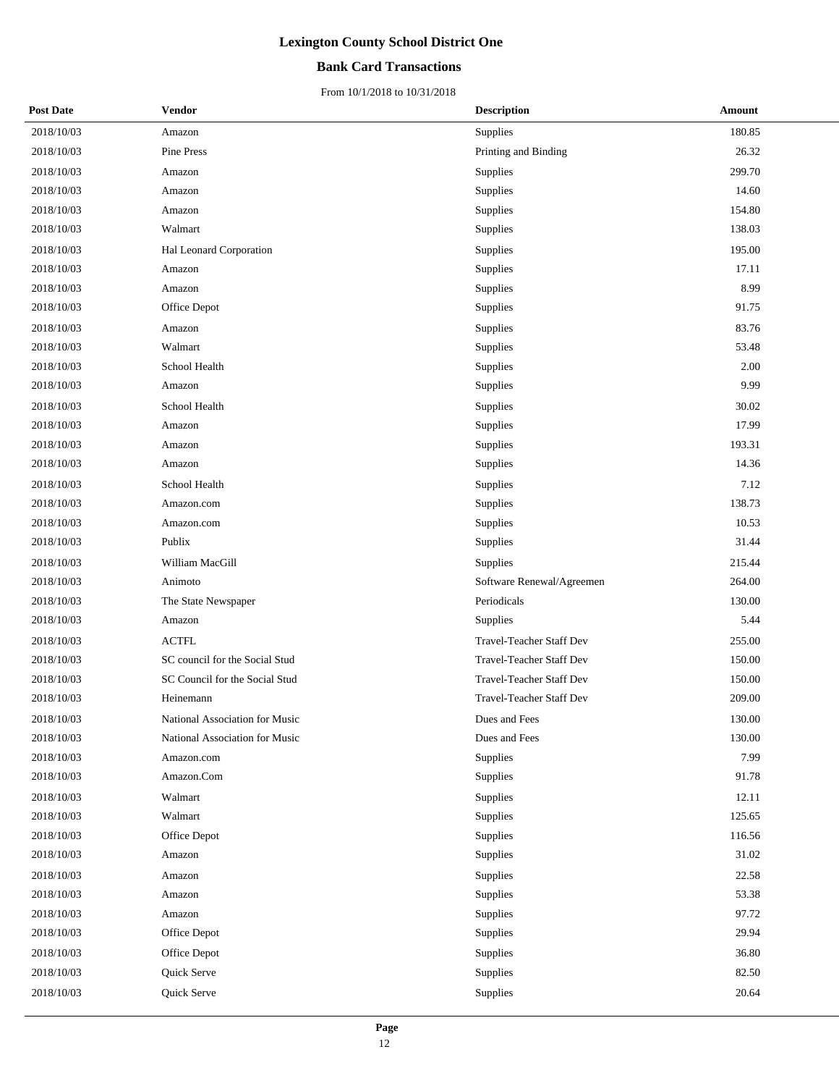### **Bank Card Transactions**

| <b>Post Date</b> | <b>Vendor</b>                  | <b>Description</b>              | Amount    |
|------------------|--------------------------------|---------------------------------|-----------|
| 2018/10/03       | Amazon                         | Supplies                        | 180.85    |
| 2018/10/03       | Pine Press                     | Printing and Binding            | 26.32     |
| 2018/10/03       | Amazon                         | Supplies                        | 299.70    |
| 2018/10/03       | Amazon                         | Supplies                        | 14.60     |
| 2018/10/03       | Amazon                         | Supplies                        | 154.80    |
| 2018/10/03       | Walmart                        | Supplies                        | 138.03    |
| 2018/10/03       | Hal Leonard Corporation        | Supplies                        | 195.00    |
| 2018/10/03       | Amazon                         | Supplies                        | 17.11     |
| 2018/10/03       | Amazon                         | Supplies                        | 8.99      |
| 2018/10/03       | Office Depot                   | Supplies                        | 91.75     |
| 2018/10/03       | Amazon                         | Supplies                        | 83.76     |
| 2018/10/03       | Walmart                        | Supplies                        | 53.48     |
| 2018/10/03       | School Health                  | Supplies                        | 2.00      |
| 2018/10/03       | Amazon                         | Supplies                        | 9.99      |
| 2018/10/03       | School Health                  | Supplies                        | 30.02     |
| 2018/10/03       | Amazon                         | Supplies                        | 17.99     |
| 2018/10/03       | Amazon                         | Supplies                        | 193.31    |
| 2018/10/03       | Amazon                         | Supplies                        | 14.36     |
| 2018/10/03       | School Health                  | Supplies                        | 7.12      |
| 2018/10/03       | Amazon.com                     | Supplies                        | 138.73    |
| 2018/10/03       | Amazon.com                     | Supplies                        | 10.53     |
| 2018/10/03       | Publix                         | Supplies                        | 31.44     |
| 2018/10/03       | William MacGill                | Supplies                        | 215.44    |
| 2018/10/03       | Animoto                        | Software Renewal/Agreemen       | 264.00    |
| 2018/10/03       | The State Newspaper            | Periodicals                     | 130.00    |
| 2018/10/03       | Amazon                         | Supplies                        | 5.44      |
| 2018/10/03       | <b>ACTFL</b>                   | <b>Travel-Teacher Staff Dev</b> | 255.00    |
| 2018/10/03       | SC council for the Social Stud | <b>Travel-Teacher Staff Dev</b> | 150.00    |
| 2018/10/03       | SC Council for the Social Stud | <b>Travel-Teacher Staff Dev</b> | 150.00    |
| 2018/10/03       | Heinemann                      | Travel-Teacher Staff Dev        | 209.00    |
| 2018/10/03       | National Association for Music | Dues and Fees                   | 130.00    |
| 2018/10/03       | National Association for Music | Dues and Fees                   | 130.00    |
| 2018/10/03       | Amazon.com                     | Supplies                        | 7.99      |
| 2018/10/03       | Amazon.Com                     | Supplies                        | 91.78     |
| 2018/10/03       | Walmart                        | Supplies                        | 12.11     |
| 2018/10/03       | Walmart                        | Supplies                        | 125.65    |
| 2018/10/03       | Office Depot                   | Supplies                        | 116.56    |
| 2018/10/03       | Amazon                         | Supplies                        | $31.02\,$ |
| 2018/10/03       | Amazon                         | Supplies                        | 22.58     |
| 2018/10/03       | Amazon                         | Supplies                        | 53.38     |
| 2018/10/03       | Amazon                         | Supplies                        | 97.72     |
| 2018/10/03       | Office Depot                   | Supplies                        | 29.94     |
| 2018/10/03       | Office Depot                   | Supplies                        | 36.80     |
| 2018/10/03       | Quick Serve                    | Supplies                        | 82.50     |
| 2018/10/03       | Quick Serve                    | Supplies                        | 20.64     |
|                  |                                |                                 |           |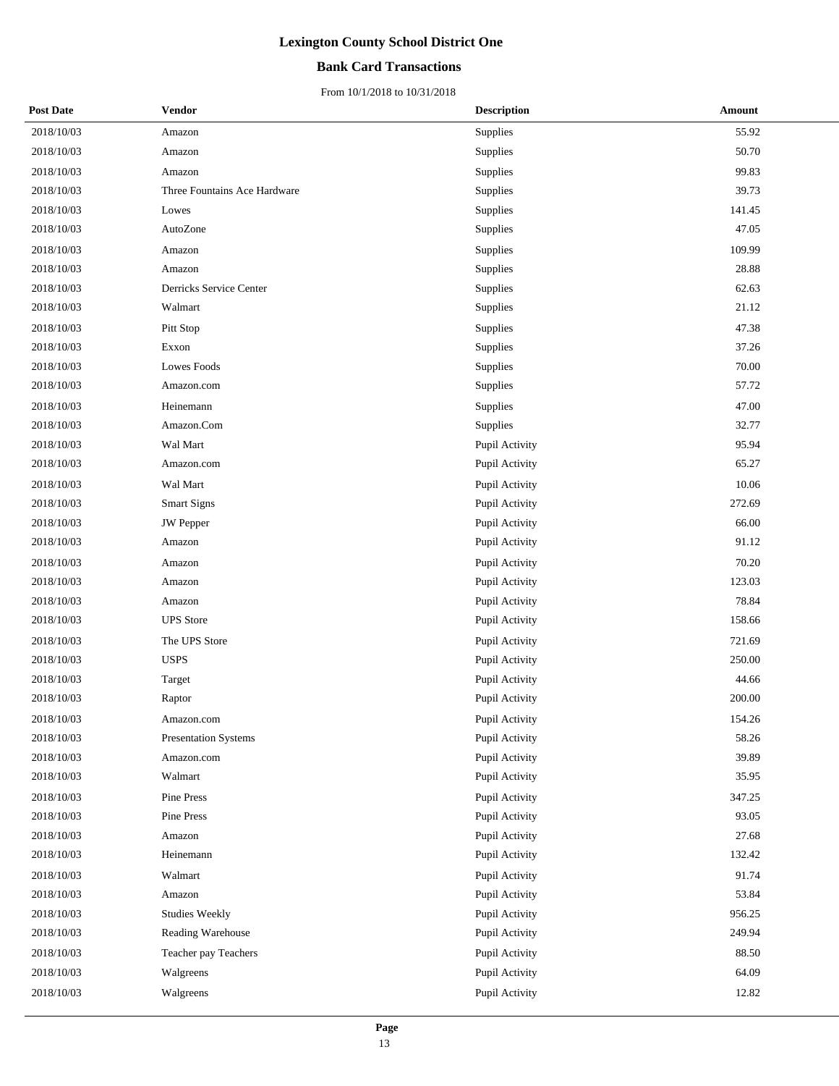## **Bank Card Transactions**

| <b>Post Date</b> | Vendor                       | <b>Description</b> | Amount |
|------------------|------------------------------|--------------------|--------|
| 2018/10/03       | Amazon                       | Supplies           | 55.92  |
| 2018/10/03       | Amazon                       | Supplies           | 50.70  |
| 2018/10/03       | Amazon                       | Supplies           | 99.83  |
| 2018/10/03       | Three Fountains Ace Hardware | Supplies           | 39.73  |
| 2018/10/03       | Lowes                        | Supplies           | 141.45 |
| 2018/10/03       | AutoZone                     | Supplies           | 47.05  |
| 2018/10/03       | Amazon                       | Supplies           | 109.99 |
| 2018/10/03       | Amazon                       | Supplies           | 28.88  |
| 2018/10/03       | Derricks Service Center      | Supplies           | 62.63  |
| 2018/10/03       | Walmart                      | Supplies           | 21.12  |
| 2018/10/03       | Pitt Stop                    | Supplies           | 47.38  |
| 2018/10/03       | Exxon                        | Supplies           | 37.26  |
| 2018/10/03       | <b>Lowes Foods</b>           | Supplies           | 70.00  |
| 2018/10/03       | Amazon.com                   | Supplies           | 57.72  |
| 2018/10/03       | Heinemann                    | Supplies           | 47.00  |
| 2018/10/03       | Amazon.Com                   | Supplies           | 32.77  |
| 2018/10/03       | Wal Mart                     | Pupil Activity     | 95.94  |
| 2018/10/03       | Amazon.com                   | Pupil Activity     | 65.27  |
| 2018/10/03       | Wal Mart                     | Pupil Activity     | 10.06  |
| 2018/10/03       | <b>Smart Signs</b>           | Pupil Activity     | 272.69 |
| 2018/10/03       | JW Pepper                    | Pupil Activity     | 66.00  |
| 2018/10/03       | Amazon                       | Pupil Activity     | 91.12  |
| 2018/10/03       | Amazon                       | Pupil Activity     | 70.20  |
| 2018/10/03       | Amazon                       | Pupil Activity     | 123.03 |
| 2018/10/03       | Amazon                       | Pupil Activity     | 78.84  |
| 2018/10/03       | <b>UPS</b> Store             | Pupil Activity     | 158.66 |
| 2018/10/03       | The UPS Store                | Pupil Activity     | 721.69 |
| 2018/10/03       | <b>USPS</b>                  | Pupil Activity     | 250.00 |
| 2018/10/03       | Target                       | Pupil Activity     | 44.66  |
| 2018/10/03       | Raptor                       | Pupil Activity     | 200.00 |
| 2018/10/03       | Amazon.com                   | Pupil Activity     | 154.26 |
| 2018/10/03       | <b>Presentation Systems</b>  | Pupil Activity     | 58.26  |
| 2018/10/03       | Amazon.com                   | Pupil Activity     | 39.89  |
| 2018/10/03       | Walmart                      | Pupil Activity     | 35.95  |
| 2018/10/03       | Pine Press                   | Pupil Activity     | 347.25 |
| 2018/10/03       | Pine Press                   | Pupil Activity     | 93.05  |
| 2018/10/03       | Amazon                       | Pupil Activity     | 27.68  |
| 2018/10/03       | Heinemann                    | Pupil Activity     | 132.42 |
| 2018/10/03       | Walmart                      | Pupil Activity     | 91.74  |
| 2018/10/03       | Amazon                       | Pupil Activity     | 53.84  |
| 2018/10/03       | <b>Studies Weekly</b>        | Pupil Activity     | 956.25 |
| 2018/10/03       | Reading Warehouse            | Pupil Activity     | 249.94 |
| 2018/10/03       | Teacher pay Teachers         | Pupil Activity     | 88.50  |
| 2018/10/03       | Walgreens                    | Pupil Activity     | 64.09  |
| 2018/10/03       | Walgreens                    | Pupil Activity     | 12.82  |
|                  |                              |                    |        |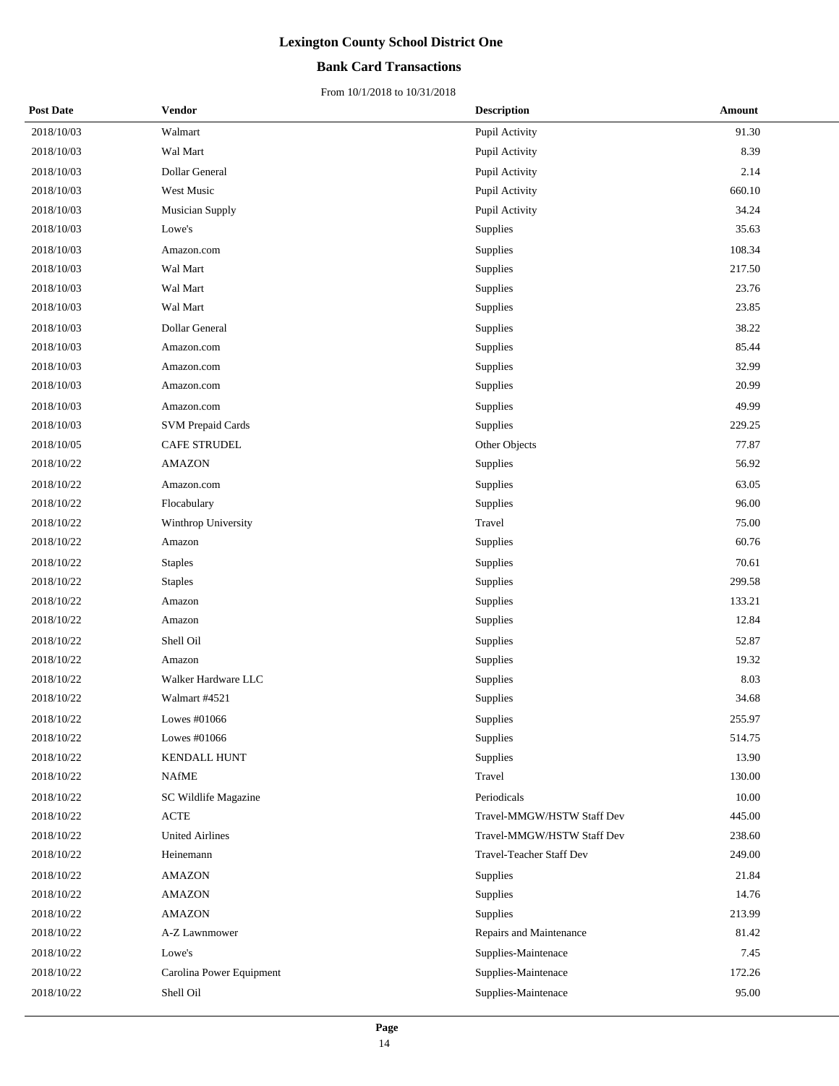## **Bank Card Transactions**

| <b>Post Date</b> | Vendor                   | <b>Description</b>         | Amount |
|------------------|--------------------------|----------------------------|--------|
| 2018/10/03       | Walmart                  | Pupil Activity             | 91.30  |
| 2018/10/03       | Wal Mart                 | Pupil Activity             | 8.39   |
| 2018/10/03       | Dollar General           | Pupil Activity             | 2.14   |
| 2018/10/03       | West Music               | Pupil Activity             | 660.10 |
| 2018/10/03       | Musician Supply          | Pupil Activity             | 34.24  |
| 2018/10/03       | Lowe's                   | Supplies                   | 35.63  |
| 2018/10/03       | Amazon.com               | Supplies                   | 108.34 |
| 2018/10/03       | Wal Mart                 | Supplies                   | 217.50 |
| 2018/10/03       | Wal Mart                 | Supplies                   | 23.76  |
| 2018/10/03       | Wal Mart                 | Supplies                   | 23.85  |
| 2018/10/03       | Dollar General           | Supplies                   | 38.22  |
| 2018/10/03       | Amazon.com               | Supplies                   | 85.44  |
| 2018/10/03       | Amazon.com               | Supplies                   | 32.99  |
| 2018/10/03       | Amazon.com               | Supplies                   | 20.99  |
| 2018/10/03       | Amazon.com               | Supplies                   | 49.99  |
| 2018/10/03       | <b>SVM Prepaid Cards</b> | Supplies                   | 229.25 |
| 2018/10/05       | <b>CAFE STRUDEL</b>      | Other Objects              | 77.87  |
| 2018/10/22       | <b>AMAZON</b>            | Supplies                   | 56.92  |
| 2018/10/22       | Amazon.com               | Supplies                   | 63.05  |
| 2018/10/22       | Flocabulary              | Supplies                   | 96.00  |
| 2018/10/22       | Winthrop University      | Travel                     | 75.00  |
| 2018/10/22       | Amazon                   | Supplies                   | 60.76  |
| 2018/10/22       | <b>Staples</b>           | Supplies                   | 70.61  |
| 2018/10/22       | <b>Staples</b>           | Supplies                   | 299.58 |
| 2018/10/22       | Amazon                   | Supplies                   | 133.21 |
| 2018/10/22       | Amazon                   | Supplies                   | 12.84  |
| 2018/10/22       | Shell Oil                | Supplies                   | 52.87  |
| 2018/10/22       | Amazon                   | Supplies                   | 19.32  |
| 2018/10/22       | Walker Hardware LLC      | Supplies                   | 8.03   |
| 2018/10/22       | Walmart #4521            | Supplies                   | 34.68  |
| 2018/10/22       | Lowes #01066             | Supplies                   | 255.97 |
| 2018/10/22       | Lowes #01066             | Supplies                   | 514.75 |
| 2018/10/22       | <b>KENDALL HUNT</b>      | Supplies                   | 13.90  |
| 2018/10/22       | <b>NAfME</b>             | Travel                     | 130.00 |
| 2018/10/22       | SC Wildlife Magazine     | Periodicals                | 10.00  |
| 2018/10/22       | <b>ACTE</b>              | Travel-MMGW/HSTW Staff Dev | 445.00 |
| 2018/10/22       | <b>United Airlines</b>   | Travel-MMGW/HSTW Staff Dev | 238.60 |
| 2018/10/22       | Heinemann                | Travel-Teacher Staff Dev   | 249.00 |
| 2018/10/22       | <b>AMAZON</b>            | Supplies                   | 21.84  |
| 2018/10/22       | <b>AMAZON</b>            | Supplies                   | 14.76  |
| 2018/10/22       | <b>AMAZON</b>            | <b>Supplies</b>            | 213.99 |
| 2018/10/22       | A-Z Lawnmower            | Repairs and Maintenance    | 81.42  |
| 2018/10/22       | Lowe's                   | Supplies-Maintenace        | 7.45   |
| 2018/10/22       | Carolina Power Equipment | Supplies-Maintenace        | 172.26 |
| 2018/10/22       | Shell Oil                | Supplies-Maintenace        | 95.00  |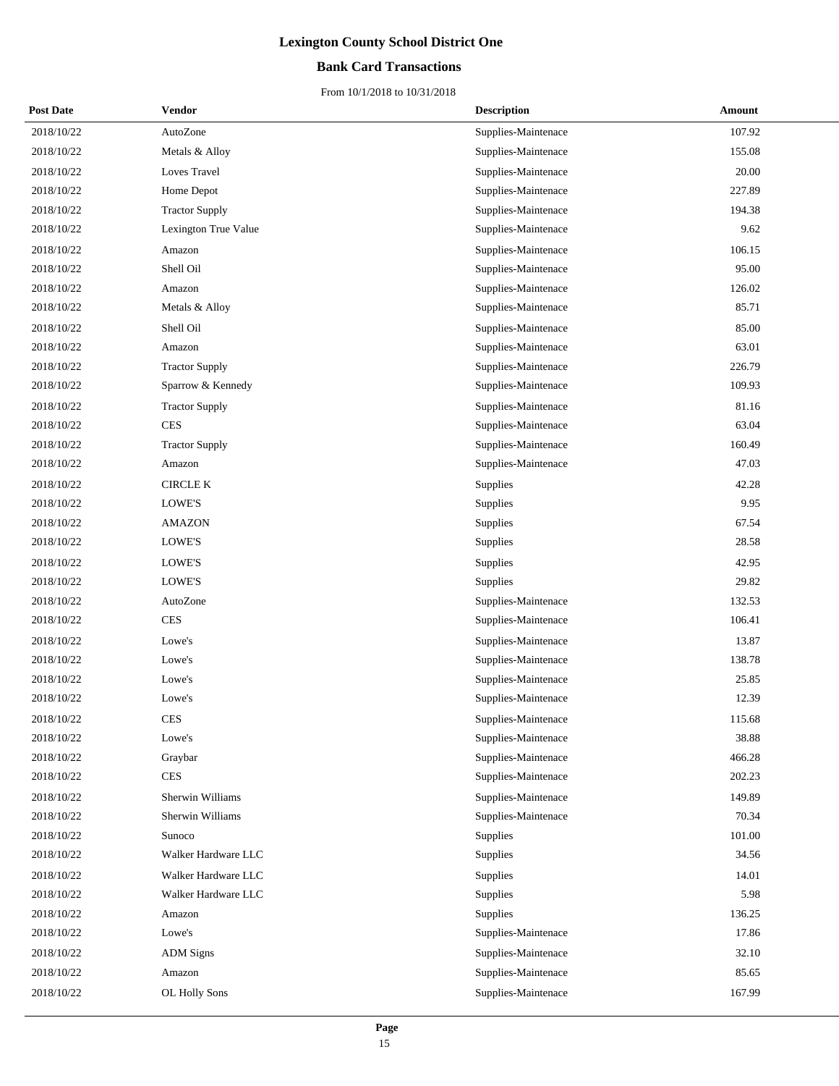## **Bank Card Transactions**

| <b>Post Date</b> | <b>Vendor</b>         | <b>Description</b>  | Amount |
|------------------|-----------------------|---------------------|--------|
| 2018/10/22       | AutoZone              | Supplies-Maintenace | 107.92 |
| 2018/10/22       | Metals & Alloy        | Supplies-Maintenace | 155.08 |
| 2018/10/22       | Loves Travel          | Supplies-Maintenace | 20.00  |
| 2018/10/22       | Home Depot            | Supplies-Maintenace | 227.89 |
| 2018/10/22       | <b>Tractor Supply</b> | Supplies-Maintenace | 194.38 |
| 2018/10/22       | Lexington True Value  | Supplies-Maintenace | 9.62   |
| 2018/10/22       | Amazon                | Supplies-Maintenace | 106.15 |
| 2018/10/22       | Shell Oil             | Supplies-Maintenace | 95.00  |
| 2018/10/22       | Amazon                | Supplies-Maintenace | 126.02 |
| 2018/10/22       | Metals & Alloy        | Supplies-Maintenace | 85.71  |
| 2018/10/22       | Shell Oil             | Supplies-Maintenace | 85.00  |
| 2018/10/22       | Amazon                | Supplies-Maintenace | 63.01  |
| 2018/10/22       | <b>Tractor Supply</b> | Supplies-Maintenace | 226.79 |
| 2018/10/22       | Sparrow & Kennedy     | Supplies-Maintenace | 109.93 |
| 2018/10/22       | <b>Tractor Supply</b> | Supplies-Maintenace | 81.16  |
| 2018/10/22       | <b>CES</b>            | Supplies-Maintenace | 63.04  |
| 2018/10/22       | <b>Tractor Supply</b> | Supplies-Maintenace | 160.49 |
| 2018/10/22       | Amazon                | Supplies-Maintenace | 47.03  |
| 2018/10/22       | CIRCLE K              | Supplies            | 42.28  |
| 2018/10/22       | LOWE'S                | Supplies            | 9.95   |
| 2018/10/22       | <b>AMAZON</b>         | Supplies            | 67.54  |
| 2018/10/22       | LOWE'S                | Supplies            | 28.58  |
| 2018/10/22       | LOWE'S                | Supplies            | 42.95  |
| 2018/10/22       | LOWE'S                | Supplies            | 29.82  |
| 2018/10/22       | AutoZone              | Supplies-Maintenace | 132.53 |
| 2018/10/22       | <b>CES</b>            | Supplies-Maintenace | 106.41 |
| 2018/10/22       | Lowe's                | Supplies-Maintenace | 13.87  |
| 2018/10/22       | Lowe's                | Supplies-Maintenace | 138.78 |
| 2018/10/22       | Lowe's                | Supplies-Maintenace | 25.85  |
| 2018/10/22       | Lowe's                | Supplies-Maintenace | 12.39  |
| 2018/10/22       | <b>CES</b>            | Supplies-Maintenace | 115.68 |
| 2018/10/22       | Lowe's                | Supplies-Maintenace | 38.88  |
| 2018/10/22       | Graybar               | Supplies-Maintenace | 466.28 |
| 2018/10/22       | <b>CES</b>            | Supplies-Maintenace | 202.23 |
| 2018/10/22       | Sherwin Williams      | Supplies-Maintenace | 149.89 |
| 2018/10/22       | Sherwin Williams      | Supplies-Maintenace | 70.34  |
| 2018/10/22       | Sunoco                | Supplies            | 101.00 |
| 2018/10/22       | Walker Hardware LLC   | Supplies            | 34.56  |
| 2018/10/22       | Walker Hardware LLC   | Supplies            | 14.01  |
| 2018/10/22       | Walker Hardware LLC   | Supplies            | 5.98   |
| 2018/10/22       | Amazon                | Supplies            | 136.25 |
| 2018/10/22       | Lowe's                | Supplies-Maintenace | 17.86  |
| 2018/10/22       | <b>ADM</b> Signs      | Supplies-Maintenace | 32.10  |
| 2018/10/22       | Amazon                | Supplies-Maintenace | 85.65  |
| 2018/10/22       | OL Holly Sons         | Supplies-Maintenace | 167.99 |
|                  |                       |                     |        |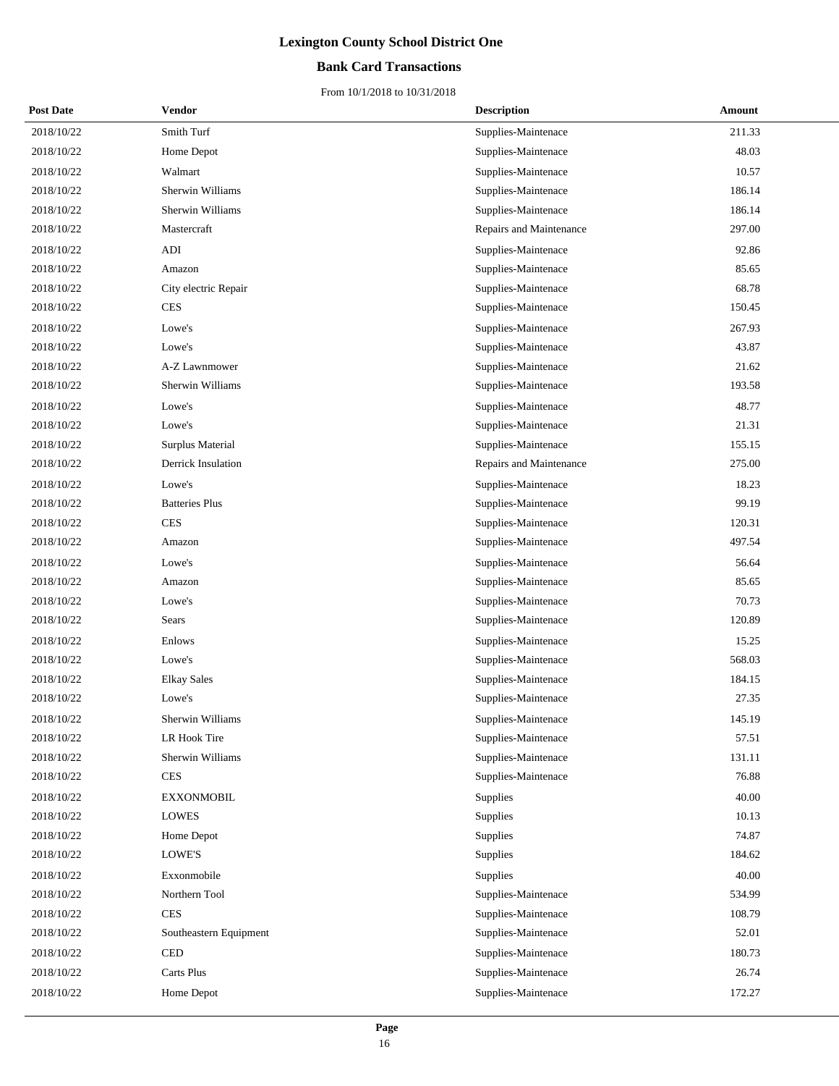## **Bank Card Transactions**

| <b>Post Date</b> | Vendor                 | <b>Description</b>      | Amount |
|------------------|------------------------|-------------------------|--------|
| 2018/10/22       | Smith Turf             | Supplies-Maintenace     | 211.33 |
| 2018/10/22       | Home Depot             | Supplies-Maintenace     | 48.03  |
| 2018/10/22       | Walmart                | Supplies-Maintenace     | 10.57  |
| 2018/10/22       | Sherwin Williams       | Supplies-Maintenace     | 186.14 |
| 2018/10/22       | Sherwin Williams       | Supplies-Maintenace     | 186.14 |
| 2018/10/22       | Mastercraft            | Repairs and Maintenance | 297.00 |
| 2018/10/22       | ADI                    | Supplies-Maintenace     | 92.86  |
| 2018/10/22       | Amazon                 | Supplies-Maintenace     | 85.65  |
| 2018/10/22       | City electric Repair   | Supplies-Maintenace     | 68.78  |
| 2018/10/22       | <b>CES</b>             | Supplies-Maintenace     | 150.45 |
| 2018/10/22       | Lowe's                 | Supplies-Maintenace     | 267.93 |
| 2018/10/22       | Lowe's                 | Supplies-Maintenace     | 43.87  |
| 2018/10/22       | A-Z Lawnmower          | Supplies-Maintenace     | 21.62  |
| 2018/10/22       | Sherwin Williams       | Supplies-Maintenace     | 193.58 |
| 2018/10/22       | Lowe's                 | Supplies-Maintenace     | 48.77  |
| 2018/10/22       | Lowe's                 | Supplies-Maintenace     | 21.31  |
| 2018/10/22       | Surplus Material       | Supplies-Maintenace     | 155.15 |
| 2018/10/22       | Derrick Insulation     | Repairs and Maintenance | 275.00 |
| 2018/10/22       | Lowe's                 | Supplies-Maintenace     | 18.23  |
| 2018/10/22       | <b>Batteries Plus</b>  | Supplies-Maintenace     | 99.19  |
| 2018/10/22       | <b>CES</b>             | Supplies-Maintenace     | 120.31 |
| 2018/10/22       | Amazon                 | Supplies-Maintenace     | 497.54 |
| 2018/10/22       | Lowe's                 | Supplies-Maintenace     | 56.64  |
| 2018/10/22       | Amazon                 | Supplies-Maintenace     | 85.65  |
| 2018/10/22       | Lowe's                 | Supplies-Maintenace     | 70.73  |
| 2018/10/22       | Sears                  | Supplies-Maintenace     | 120.89 |
| 2018/10/22       | Enlows                 | Supplies-Maintenace     | 15.25  |
| 2018/10/22       | Lowe's                 | Supplies-Maintenace     | 568.03 |
| 2018/10/22       | <b>Elkay Sales</b>     | Supplies-Maintenace     | 184.15 |
| 2018/10/22       | Lowe's                 | Supplies-Maintenace     | 27.35  |
| 2018/10/22       | Sherwin Williams       | Supplies-Maintenace     | 145.19 |
| 2018/10/22       | LR Hook Tire           | Supplies-Maintenace     | 57.51  |
| 2018/10/22       | Sherwin Williams       | Supplies-Maintenace     | 131.11 |
| 2018/10/22       | <b>CES</b>             | Supplies-Maintenace     | 76.88  |
| 2018/10/22       | <b>EXXONMOBIL</b>      | Supplies                | 40.00  |
| 2018/10/22       | <b>LOWES</b>           | Supplies                | 10.13  |
| 2018/10/22       | Home Depot             | Supplies                | 74.87  |
| 2018/10/22       | LOWE'S                 | Supplies                | 184.62 |
| 2018/10/22       | Exxonmobile            | Supplies                | 40.00  |
| 2018/10/22       | Northern Tool          | Supplies-Maintenace     | 534.99 |
| 2018/10/22       | <b>CES</b>             | Supplies-Maintenace     | 108.79 |
| 2018/10/22       | Southeastern Equipment | Supplies-Maintenace     | 52.01  |
| 2018/10/22       | <b>CED</b>             | Supplies-Maintenace     | 180.73 |
| 2018/10/22       | Carts Plus             | Supplies-Maintenace     | 26.74  |
| 2018/10/22       | Home Depot             | Supplies-Maintenace     | 172.27 |
|                  |                        |                         |        |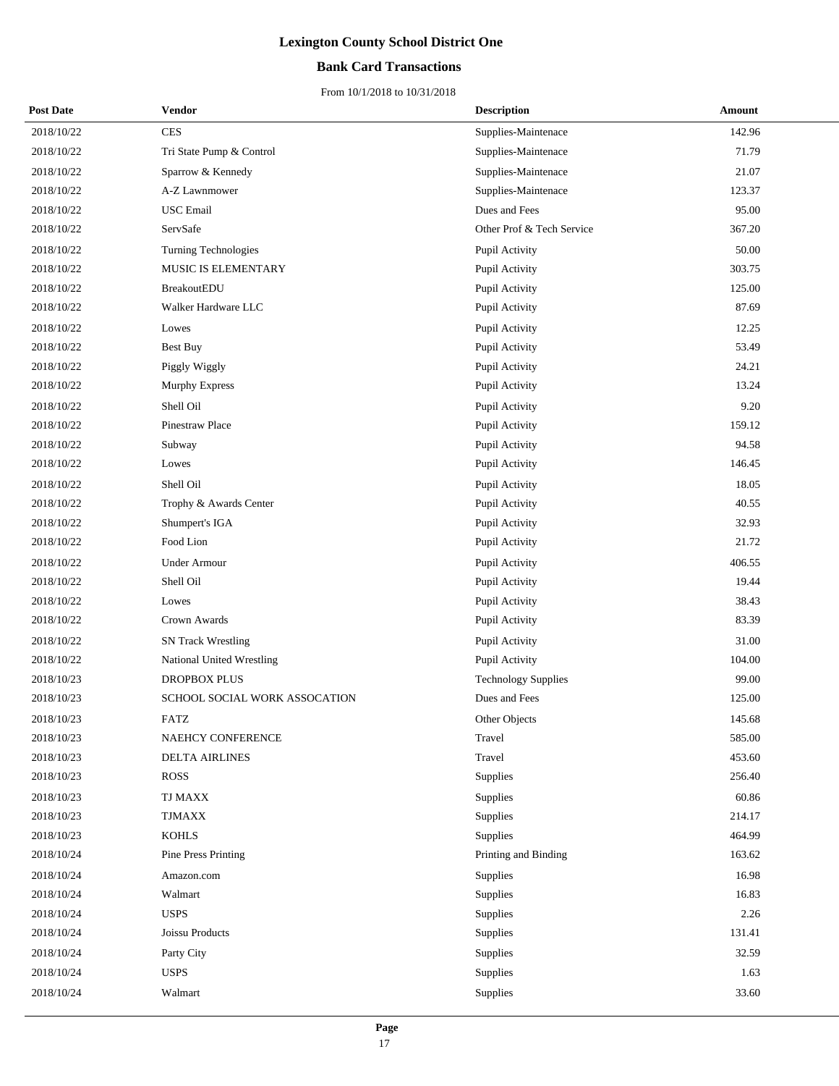## **Bank Card Transactions**

| <b>Post Date</b> | Vendor                        | <b>Description</b>         | Amount |
|------------------|-------------------------------|----------------------------|--------|
| 2018/10/22       | <b>CES</b>                    | Supplies-Maintenace        | 142.96 |
| 2018/10/22       | Tri State Pump & Control      | Supplies-Maintenace        | 71.79  |
| 2018/10/22       | Sparrow & Kennedy             | Supplies-Maintenace        | 21.07  |
| 2018/10/22       | A-Z Lawnmower                 | Supplies-Maintenace        | 123.37 |
| 2018/10/22       | <b>USC</b> Email              | Dues and Fees              | 95.00  |
| 2018/10/22       | ServSafe                      | Other Prof & Tech Service  | 367.20 |
| 2018/10/22       | <b>Turning Technologies</b>   | Pupil Activity             | 50.00  |
| 2018/10/22       | MUSIC IS ELEMENTARY           | Pupil Activity             | 303.75 |
| 2018/10/22       | <b>BreakoutEDU</b>            | Pupil Activity             | 125.00 |
| 2018/10/22       | Walker Hardware LLC           | Pupil Activity             | 87.69  |
| 2018/10/22       | Lowes                         | Pupil Activity             | 12.25  |
| 2018/10/22       | <b>Best Buy</b>               | Pupil Activity             | 53.49  |
| 2018/10/22       | Piggly Wiggly                 | Pupil Activity             | 24.21  |
| 2018/10/22       | <b>Murphy Express</b>         | Pupil Activity             | 13.24  |
| 2018/10/22       | Shell Oil                     | Pupil Activity             | 9.20   |
| 2018/10/22       | <b>Pinestraw Place</b>        | Pupil Activity             | 159.12 |
| 2018/10/22       | Subway                        | Pupil Activity             | 94.58  |
| 2018/10/22       | Lowes                         | Pupil Activity             | 146.45 |
| 2018/10/22       | Shell Oil                     | Pupil Activity             | 18.05  |
| 2018/10/22       | Trophy & Awards Center        | Pupil Activity             | 40.55  |
| 2018/10/22       | Shumpert's IGA                | Pupil Activity             | 32.93  |
| 2018/10/22       | Food Lion                     | Pupil Activity             | 21.72  |
| 2018/10/22       | <b>Under Armour</b>           | Pupil Activity             | 406.55 |
| 2018/10/22       | Shell Oil                     | Pupil Activity             | 19.44  |
| 2018/10/22       | Lowes                         | Pupil Activity             | 38.43  |
| 2018/10/22       | Crown Awards                  | Pupil Activity             | 83.39  |
| 2018/10/22       | <b>SN Track Wrestling</b>     | Pupil Activity             | 31.00  |
| 2018/10/22       | National United Wrestling     | Pupil Activity             | 104.00 |
| 2018/10/23       | <b>DROPBOX PLUS</b>           | <b>Technology Supplies</b> | 99.00  |
| 2018/10/23       | SCHOOL SOCIAL WORK ASSOCATION | Dues and Fees              | 125.00 |
| 2018/10/23       | FATZ                          | Other Objects              | 145.68 |
| 2018/10/23       | NAEHCY CONFERENCE             | Travel                     | 585.00 |
| 2018/10/23       | <b>DELTA AIRLINES</b>         | Travel                     | 453.60 |
| 2018/10/23       | <b>ROSS</b>                   | Supplies                   | 256.40 |
| 2018/10/23       | TJ MAXX                       | Supplies                   | 60.86  |
| 2018/10/23       | <b>TJMAXX</b>                 | Supplies                   | 214.17 |
| 2018/10/23       | <b>KOHLS</b>                  | Supplies                   | 464.99 |
| 2018/10/24       | Pine Press Printing           | Printing and Binding       | 163.62 |
| 2018/10/24       | Amazon.com                    | Supplies                   | 16.98  |
| 2018/10/24       | Walmart                       | Supplies                   | 16.83  |
| 2018/10/24       | <b>USPS</b>                   | Supplies                   | 2.26   |
| 2018/10/24       | Joissu Products               | Supplies                   | 131.41 |
| 2018/10/24       | Party City                    | Supplies                   | 32.59  |
| 2018/10/24       | <b>USPS</b>                   | Supplies                   | 1.63   |
| 2018/10/24       | Walmart                       | Supplies                   | 33.60  |
|                  |                               |                            |        |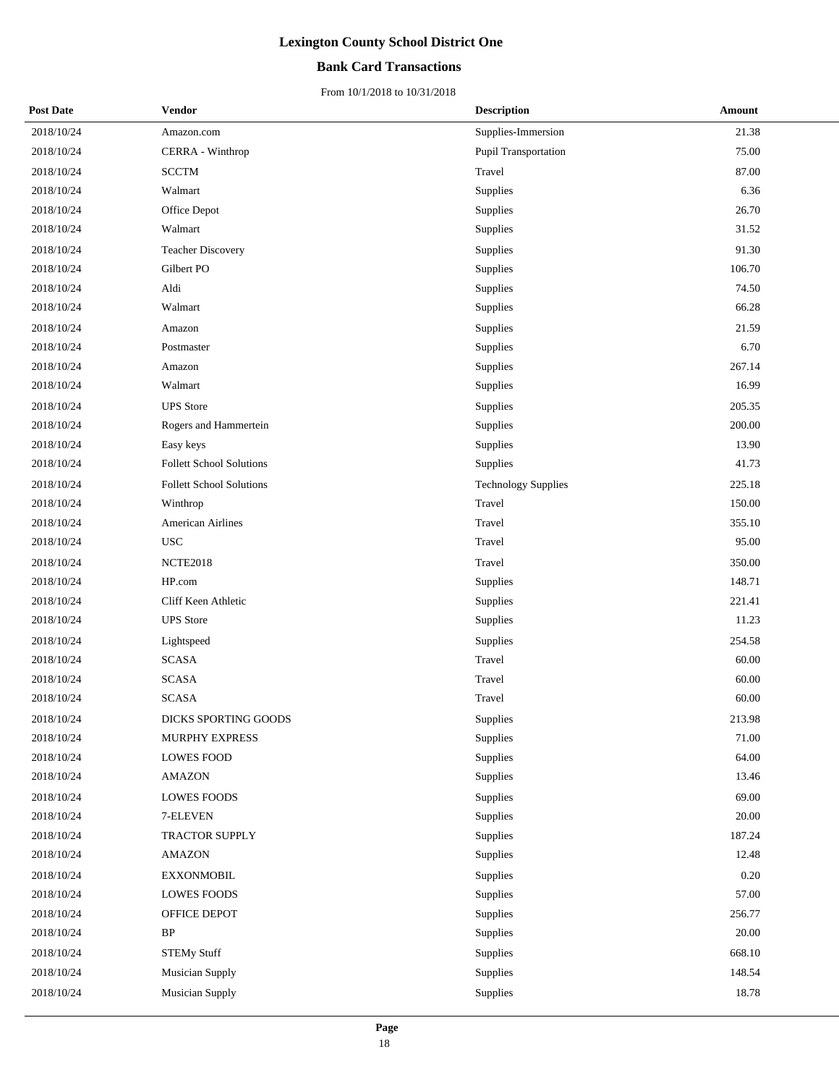## **Bank Card Transactions**

| <b>Post Date</b> | Vendor                          | <b>Description</b>         | Amount   |
|------------------|---------------------------------|----------------------------|----------|
| 2018/10/24       | Amazon.com                      | Supplies-Immersion         | 21.38    |
| 2018/10/24       | CERRA - Winthrop                | Pupil Transportation       | 75.00    |
| 2018/10/24       | <b>SCCTM</b>                    | Travel                     | 87.00    |
| 2018/10/24       | Walmart                         | Supplies                   | 6.36     |
| 2018/10/24       | Office Depot                    | Supplies                   | 26.70    |
| 2018/10/24       | Walmart                         | Supplies                   | 31.52    |
| 2018/10/24       | <b>Teacher Discovery</b>        | Supplies                   | 91.30    |
| 2018/10/24       | Gilbert PO                      | Supplies                   | 106.70   |
| 2018/10/24       | Aldi                            | Supplies                   | 74.50    |
| 2018/10/24       | Walmart                         | Supplies                   | 66.28    |
| 2018/10/24       | Amazon                          | Supplies                   | 21.59    |
| 2018/10/24       | Postmaster                      | Supplies                   | 6.70     |
| 2018/10/24       | Amazon                          | Supplies                   | 267.14   |
| 2018/10/24       | Walmart                         | Supplies                   | 16.99    |
| 2018/10/24       | <b>UPS</b> Store                | Supplies                   | 205.35   |
| 2018/10/24       | Rogers and Hammertein           | Supplies                   | 200.00   |
| 2018/10/24       | Easy keys                       | Supplies                   | 13.90    |
| 2018/10/24       | <b>Follett School Solutions</b> | Supplies                   | 41.73    |
| 2018/10/24       | <b>Follett School Solutions</b> | <b>Technology Supplies</b> | 225.18   |
| 2018/10/24       | Winthrop                        | Travel                     | 150.00   |
| 2018/10/24       | American Airlines               | Travel                     | 355.10   |
| 2018/10/24       | <b>USC</b>                      | Travel                     | 95.00    |
| 2018/10/24       | <b>NCTE2018</b>                 | Travel                     | 350.00   |
| 2018/10/24       | HP.com                          | Supplies                   | 148.71   |
| 2018/10/24       | Cliff Keen Athletic             | Supplies                   | 221.41   |
| 2018/10/24       | <b>UPS</b> Store                | Supplies                   | 11.23    |
| 2018/10/24       | Lightspeed                      | Supplies                   | 254.58   |
| 2018/10/24       | <b>SCASA</b>                    | Travel                     | 60.00    |
| 2018/10/24       | <b>SCASA</b>                    | Travel                     | 60.00    |
| 2018/10/24       | <b>SCASA</b>                    | Travel                     | 60.00    |
| 2018/10/24       | <b>DICKS SPORTING GOODS</b>     | Supplies                   | 213.98   |
| 2018/10/24       | MURPHY EXPRESS                  | Supplies                   | 71.00    |
| 2018/10/24       | <b>LOWES FOOD</b>               | Supplies                   | 64.00    |
| 2018/10/24       | <b>AMAZON</b>                   | Supplies                   | 13.46    |
| 2018/10/24       | <b>LOWES FOODS</b>              | Supplies                   | 69.00    |
| 2018/10/24       | 7-ELEVEN                        | Supplies                   | 20.00    |
| 2018/10/24       | TRACTOR SUPPLY                  | Supplies                   | 187.24   |
| 2018/10/24       | <b>AMAZON</b>                   | Supplies                   | 12.48    |
| 2018/10/24       | <b>EXXONMOBIL</b>               | Supplies                   | $0.20\,$ |
| 2018/10/24       | <b>LOWES FOODS</b>              | Supplies                   | 57.00    |
| 2018/10/24       | OFFICE DEPOT                    | Supplies                   | 256.77   |
| 2018/10/24       | BP                              | Supplies                   | 20.00    |
| 2018/10/24       | <b>STEMy Stuff</b>              | Supplies                   | 668.10   |
| 2018/10/24       | Musician Supply                 | Supplies                   | 148.54   |
| 2018/10/24       | Musician Supply                 | Supplies                   | 18.78    |
|                  |                                 |                            |          |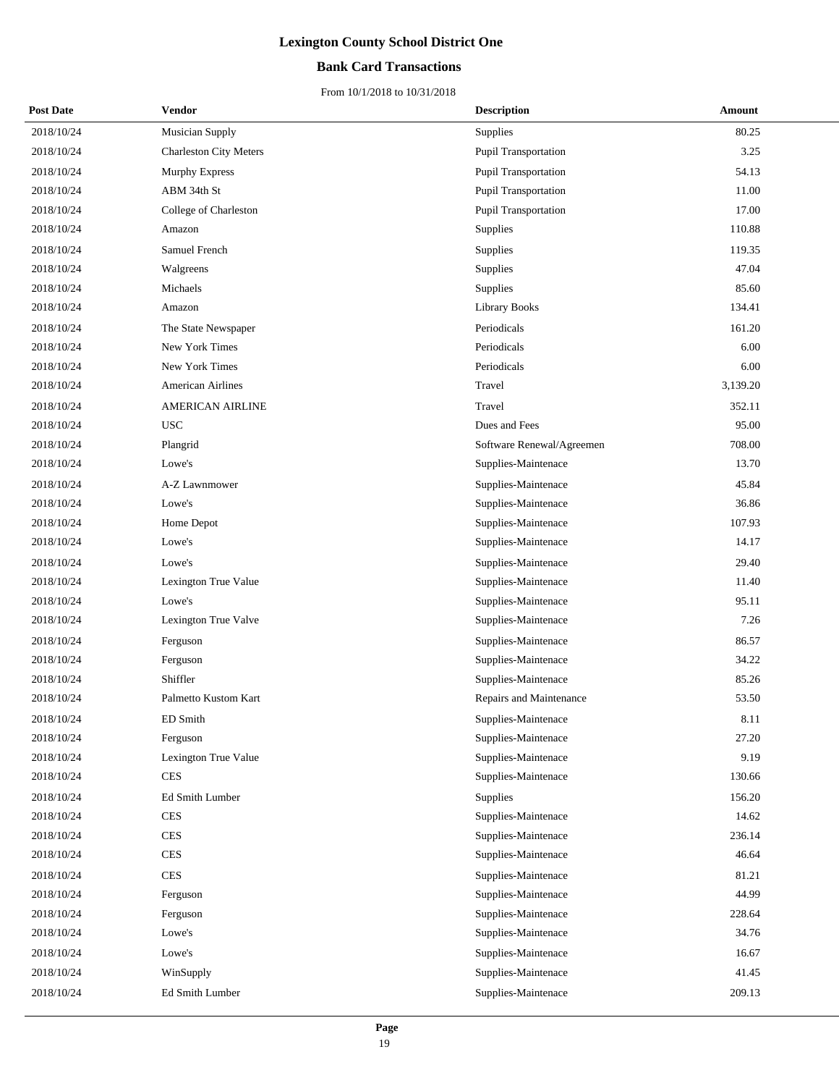## **Bank Card Transactions**

| <b>Post Date</b> | Vendor                        | <b>Description</b>        | Amount   |
|------------------|-------------------------------|---------------------------|----------|
| 2018/10/24       | <b>Musician Supply</b>        | Supplies                  | 80.25    |
| 2018/10/24       | <b>Charleston City Meters</b> | Pupil Transportation      | 3.25     |
| 2018/10/24       | <b>Murphy Express</b>         | Pupil Transportation      | 54.13    |
| 2018/10/24       | ABM 34th St                   | Pupil Transportation      | 11.00    |
| 2018/10/24       | College of Charleston         | Pupil Transportation      | 17.00    |
| 2018/10/24       | Amazon                        | Supplies                  | 110.88   |
| 2018/10/24       | Samuel French                 | Supplies                  | 119.35   |
| 2018/10/24       | Walgreens                     | Supplies                  | 47.04    |
| 2018/10/24       | Michaels                      | Supplies                  | 85.60    |
| 2018/10/24       | Amazon                        | <b>Library Books</b>      | 134.41   |
| 2018/10/24       | The State Newspaper           | Periodicals               | 161.20   |
| 2018/10/24       | New York Times                | Periodicals               | 6.00     |
| 2018/10/24       | New York Times                | Periodicals               | 6.00     |
| 2018/10/24       | <b>American Airlines</b>      | Travel                    | 3,139.20 |
| 2018/10/24       | <b>AMERICAN AIRLINE</b>       | Travel                    | 352.11   |
| 2018/10/24       | <b>USC</b>                    | Dues and Fees             | 95.00    |
| 2018/10/24       | Plangrid                      | Software Renewal/Agreemen | 708.00   |
| 2018/10/24       | Lowe's                        | Supplies-Maintenace       | 13.70    |
| 2018/10/24       | A-Z Lawnmower                 | Supplies-Maintenace       | 45.84    |
| 2018/10/24       | Lowe's                        | Supplies-Maintenace       | 36.86    |
| 2018/10/24       | Home Depot                    | Supplies-Maintenace       | 107.93   |
| 2018/10/24       | Lowe's                        | Supplies-Maintenace       | 14.17    |
| 2018/10/24       | Lowe's                        | Supplies-Maintenace       | 29.40    |
| 2018/10/24       | Lexington True Value          | Supplies-Maintenace       | 11.40    |
| 2018/10/24       | Lowe's                        | Supplies-Maintenace       | 95.11    |
| 2018/10/24       | Lexington True Valve          | Supplies-Maintenace       | 7.26     |
| 2018/10/24       | Ferguson                      | Supplies-Maintenace       | 86.57    |
| 2018/10/24       | Ferguson                      | Supplies-Maintenace       | 34.22    |
| 2018/10/24       | Shiffler                      | Supplies-Maintenace       | 85.26    |
| 2018/10/24       | Palmetto Kustom Kart          | Repairs and Maintenance   | 53.50    |
| 2018/10/24       | ED Smith                      | Supplies-Maintenace       | 8.11     |
| 2018/10/24       | Ferguson                      | Supplies-Maintenace       | 27.20    |
| 2018/10/24       | Lexington True Value          | Supplies-Maintenace       | 9.19     |
| 2018/10/24       | $\mbox{CES}$                  | Supplies-Maintenace       | 130.66   |
| 2018/10/24       | Ed Smith Lumber               | Supplies                  | 156.20   |
| 2018/10/24       | <b>CES</b>                    | Supplies-Maintenace       | 14.62    |
| 2018/10/24       | <b>CES</b>                    | Supplies-Maintenace       | 236.14   |
| 2018/10/24       | <b>CES</b>                    | Supplies-Maintenace       | 46.64    |
| 2018/10/24       | <b>CES</b>                    | Supplies-Maintenace       | 81.21    |
| 2018/10/24       | Ferguson                      | Supplies-Maintenace       | 44.99    |
| 2018/10/24       | Ferguson                      | Supplies-Maintenace       | 228.64   |
| 2018/10/24       | Lowe's                        | Supplies-Maintenace       | 34.76    |
| 2018/10/24       | Lowe's                        | Supplies-Maintenace       | 16.67    |
| 2018/10/24       | WinSupply                     | Supplies-Maintenace       | 41.45    |
| 2018/10/24       | Ed Smith Lumber               | Supplies-Maintenace       | 209.13   |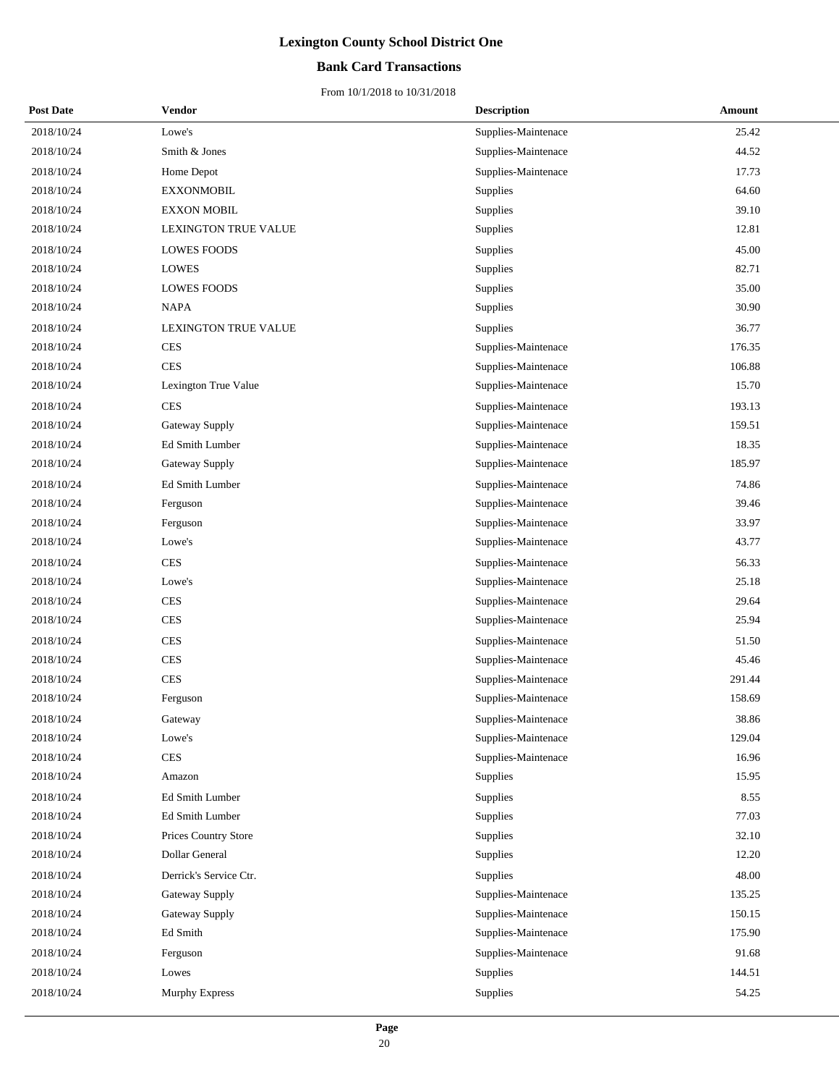## **Bank Card Transactions**

| <b>Post Date</b> | Vendor                 | <b>Description</b>  | Amount |
|------------------|------------------------|---------------------|--------|
| 2018/10/24       | Lowe's                 | Supplies-Maintenace | 25.42  |
| 2018/10/24       | Smith & Jones          | Supplies-Maintenace | 44.52  |
| 2018/10/24       | Home Depot             | Supplies-Maintenace | 17.73  |
| 2018/10/24       | <b>EXXONMOBIL</b>      | Supplies            | 64.60  |
| 2018/10/24       | <b>EXXON MOBIL</b>     | Supplies            | 39.10  |
| 2018/10/24       | LEXINGTON TRUE VALUE   | Supplies            | 12.81  |
| 2018/10/24       | <b>LOWES FOODS</b>     | Supplies            | 45.00  |
| 2018/10/24       | <b>LOWES</b>           | Supplies            | 82.71  |
| 2018/10/24       | <b>LOWES FOODS</b>     | Supplies            | 35.00  |
| 2018/10/24       | <b>NAPA</b>            | Supplies            | 30.90  |
| 2018/10/24       | LEXINGTON TRUE VALUE   | Supplies            | 36.77  |
| 2018/10/24       | <b>CES</b>             | Supplies-Maintenace | 176.35 |
| 2018/10/24       | <b>CES</b>             | Supplies-Maintenace | 106.88 |
| 2018/10/24       | Lexington True Value   | Supplies-Maintenace | 15.70  |
| 2018/10/24       | <b>CES</b>             | Supplies-Maintenace | 193.13 |
| 2018/10/24       | Gateway Supply         | Supplies-Maintenace | 159.51 |
| 2018/10/24       | Ed Smith Lumber        | Supplies-Maintenace | 18.35  |
| 2018/10/24       | Gateway Supply         | Supplies-Maintenace | 185.97 |
| 2018/10/24       | <b>Ed Smith Lumber</b> | Supplies-Maintenace | 74.86  |
| 2018/10/24       | Ferguson               | Supplies-Maintenace | 39.46  |
| 2018/10/24       | Ferguson               | Supplies-Maintenace | 33.97  |
| 2018/10/24       | Lowe's                 | Supplies-Maintenace | 43.77  |
| 2018/10/24       | <b>CES</b>             | Supplies-Maintenace | 56.33  |
| 2018/10/24       | Lowe's                 | Supplies-Maintenace | 25.18  |
| 2018/10/24       | <b>CES</b>             | Supplies-Maintenace | 29.64  |
| 2018/10/24       | <b>CES</b>             | Supplies-Maintenace | 25.94  |
| 2018/10/24       | <b>CES</b>             | Supplies-Maintenace | 51.50  |
| 2018/10/24       | <b>CES</b>             | Supplies-Maintenace | 45.46  |
| 2018/10/24       | <b>CES</b>             | Supplies-Maintenace | 291.44 |
| 2018/10/24       | Ferguson               | Supplies-Maintenace | 158.69 |
| 2018/10/24       | Gateway                | Supplies-Maintenace | 38.86  |
| 2018/10/24       | Lowe's                 | Supplies-Maintenace | 129.04 |
| 2018/10/24       | <b>CES</b>             | Supplies-Maintenace | 16.96  |
| 2018/10/24       | Amazon                 | Supplies            | 15.95  |
| 2018/10/24       | Ed Smith Lumber        | Supplies            | 8.55   |
| 2018/10/24       | Ed Smith Lumber        | Supplies            | 77.03  |
| 2018/10/24       | Prices Country Store   | Supplies            | 32.10  |
| 2018/10/24       | Dollar General         | Supplies            | 12.20  |
| 2018/10/24       | Derrick's Service Ctr. | <b>Supplies</b>     | 48.00  |
| 2018/10/24       | Gateway Supply         | Supplies-Maintenace | 135.25 |
| 2018/10/24       | Gateway Supply         | Supplies-Maintenace | 150.15 |
| 2018/10/24       | Ed Smith               | Supplies-Maintenace | 175.90 |
| 2018/10/24       | Ferguson               | Supplies-Maintenace | 91.68  |
| 2018/10/24       | Lowes                  | Supplies            | 144.51 |
| 2018/10/24       | Murphy Express         | Supplies            | 54.25  |
|                  |                        |                     |        |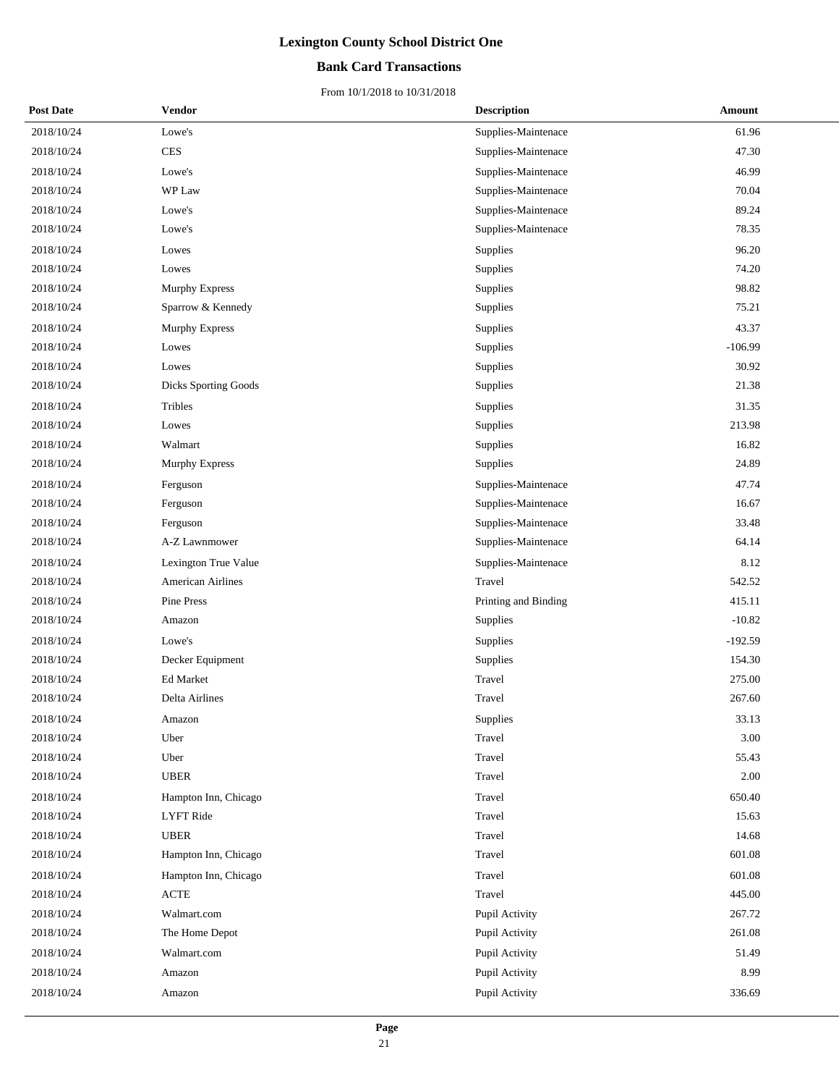## **Bank Card Transactions**

| <b>Post Date</b> | Vendor                   | <b>Description</b>   | Amount    |
|------------------|--------------------------|----------------------|-----------|
| 2018/10/24       | Lowe's                   | Supplies-Maintenace  | 61.96     |
| 2018/10/24       | <b>CES</b>               | Supplies-Maintenace  | 47.30     |
| 2018/10/24       | Lowe's                   | Supplies-Maintenace  | 46.99     |
| 2018/10/24       | WP Law                   | Supplies-Maintenace  | 70.04     |
| 2018/10/24       | Lowe's                   | Supplies-Maintenace  | 89.24     |
| 2018/10/24       | Lowe's                   | Supplies-Maintenace  | 78.35     |
| 2018/10/24       | Lowes                    | Supplies             | 96.20     |
| 2018/10/24       | Lowes                    | Supplies             | 74.20     |
| 2018/10/24       | Murphy Express           | Supplies             | 98.82     |
| 2018/10/24       | Sparrow & Kennedy        | Supplies             | 75.21     |
| 2018/10/24       | <b>Murphy Express</b>    | Supplies             | 43.37     |
| 2018/10/24       | Lowes                    | Supplies             | $-106.99$ |
| 2018/10/24       | Lowes                    | Supplies             | 30.92     |
| 2018/10/24       | Dicks Sporting Goods     | Supplies             | 21.38     |
| 2018/10/24       | Tribles                  | Supplies             | 31.35     |
| 2018/10/24       | Lowes                    | Supplies             | 213.98    |
| 2018/10/24       | Walmart                  | Supplies             | 16.82     |
| 2018/10/24       | Murphy Express           | Supplies             | 24.89     |
| 2018/10/24       | Ferguson                 | Supplies-Maintenace  | 47.74     |
| 2018/10/24       | Ferguson                 | Supplies-Maintenace  | 16.67     |
| 2018/10/24       | Ferguson                 | Supplies-Maintenace  | 33.48     |
| 2018/10/24       | A-Z Lawnmower            | Supplies-Maintenace  | 64.14     |
| 2018/10/24       | Lexington True Value     | Supplies-Maintenace  | 8.12      |
| 2018/10/24       | <b>American Airlines</b> | Travel               | 542.52    |
| 2018/10/24       | Pine Press               | Printing and Binding | 415.11    |
| 2018/10/24       | Amazon                   | Supplies             | $-10.82$  |
| 2018/10/24       | Lowe's                   | Supplies             | $-192.59$ |
| 2018/10/24       | Decker Equipment         | Supplies             | 154.30    |
| 2018/10/24       | Ed Market                | Travel               | 275.00    |
| 2018/10/24       | Delta Airlines           | Travel               | 267.60    |
| 2018/10/24       | Amazon                   | Supplies             | 33.13     |
| 2018/10/24       | Uber                     | Travel               | 3.00      |
| 2018/10/24       | Uber                     | Travel               | 55.43     |
| 2018/10/24       | <b>UBER</b>              | Travel               | $2.00\,$  |
| 2018/10/24       | Hampton Inn, Chicago     | Travel               | 650.40    |
| 2018/10/24       | <b>LYFT</b> Ride         | Travel               | 15.63     |
| 2018/10/24       | <b>UBER</b>              | Travel               | 14.68     |
| 2018/10/24       | Hampton Inn, Chicago     | Travel               | 601.08    |
| 2018/10/24       | Hampton Inn, Chicago     | Travel               | 601.08    |
| 2018/10/24       | <b>ACTE</b>              | Travel               | 445.00    |
| 2018/10/24       | Walmart.com              | Pupil Activity       | 267.72    |
| 2018/10/24       | The Home Depot           | Pupil Activity       | 261.08    |
| 2018/10/24       | Walmart.com              | Pupil Activity       | 51.49     |
| 2018/10/24       | Amazon                   | Pupil Activity       | 8.99      |
| 2018/10/24       | Amazon                   | Pupil Activity       | 336.69    |
|                  |                          |                      |           |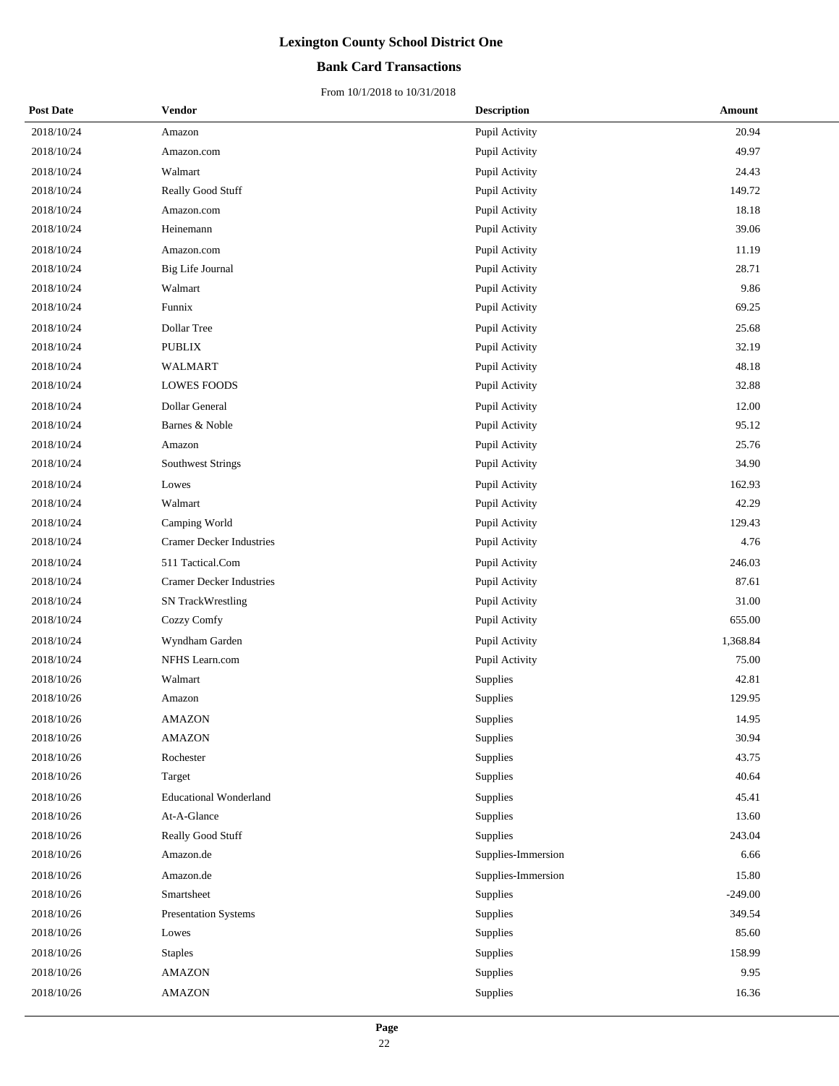## **Bank Card Transactions**

| <b>Post Date</b> | Vendor                          | <b>Description</b> | Amount    |
|------------------|---------------------------------|--------------------|-----------|
| 2018/10/24       | Amazon                          | Pupil Activity     | 20.94     |
| 2018/10/24       | Amazon.com                      | Pupil Activity     | 49.97     |
| 2018/10/24       | Walmart                         | Pupil Activity     | 24.43     |
| 2018/10/24       | Really Good Stuff               | Pupil Activity     | 149.72    |
| 2018/10/24       | Amazon.com                      | Pupil Activity     | 18.18     |
| 2018/10/24       | Heinemann                       | Pupil Activity     | 39.06     |
| 2018/10/24       | Amazon.com                      | Pupil Activity     | 11.19     |
| 2018/10/24       | Big Life Journal                | Pupil Activity     | 28.71     |
| 2018/10/24       | Walmart                         | Pupil Activity     | 9.86      |
| 2018/10/24       | Funnix                          | Pupil Activity     | 69.25     |
| 2018/10/24       | Dollar Tree                     | Pupil Activity     | 25.68     |
| 2018/10/24       | <b>PUBLIX</b>                   | Pupil Activity     | 32.19     |
| 2018/10/24       | WALMART                         | Pupil Activity     | 48.18     |
| 2018/10/24       | <b>LOWES FOODS</b>              | Pupil Activity     | 32.88     |
| 2018/10/24       | Dollar General                  | Pupil Activity     | 12.00     |
| 2018/10/24       | Barnes & Noble                  | Pupil Activity     | 95.12     |
| 2018/10/24       | Amazon                          | Pupil Activity     | 25.76     |
| 2018/10/24       | <b>Southwest Strings</b>        | Pupil Activity     | 34.90     |
| 2018/10/24       | Lowes                           | Pupil Activity     | 162.93    |
| 2018/10/24       | Walmart                         | Pupil Activity     | 42.29     |
| 2018/10/24       | Camping World                   | Pupil Activity     | 129.43    |
| 2018/10/24       | <b>Cramer Decker Industries</b> | Pupil Activity     | 4.76      |
| 2018/10/24       | 511 Tactical.Com                | Pupil Activity     | 246.03    |
| 2018/10/24       | <b>Cramer Decker Industries</b> | Pupil Activity     | 87.61     |
| 2018/10/24       | SN TrackWrestling               | Pupil Activity     | 31.00     |
| 2018/10/24       | Cozzy Comfy                     | Pupil Activity     | 655.00    |
| 2018/10/24       | Wyndham Garden                  | Pupil Activity     | 1,368.84  |
| 2018/10/24       | NFHS Learn.com                  | Pupil Activity     | 75.00     |
| 2018/10/26       | Walmart                         | Supplies           | 42.81     |
| 2018/10/26       | Amazon                          | Supplies           | 129.95    |
| 2018/10/26       | <b>AMAZON</b>                   | Supplies           | 14.95     |
| 2018/10/26       | <b>AMAZON</b>                   | Supplies           | 30.94     |
| 2018/10/26       | Rochester                       | Supplies           | 43.75     |
| 2018/10/26       | Target                          | Supplies           | 40.64     |
| 2018/10/26       | <b>Educational Wonderland</b>   | Supplies           | 45.41     |
| 2018/10/26       | At-A-Glance                     | Supplies           | 13.60     |
| 2018/10/26       | Really Good Stuff               | Supplies           | 243.04    |
| 2018/10/26       | Amazon.de                       | Supplies-Immersion | 6.66      |
| 2018/10/26       | Amazon.de                       | Supplies-Immersion | 15.80     |
| 2018/10/26       | Smartsheet                      | Supplies           | $-249.00$ |
| 2018/10/26       | Presentation Systems            | Supplies           | 349.54    |
| 2018/10/26       | Lowes                           | Supplies           | 85.60     |
| 2018/10/26       | <b>Staples</b>                  | Supplies           | 158.99    |
| 2018/10/26       | <b>AMAZON</b>                   | Supplies           | 9.95      |
| 2018/10/26       | <b>AMAZON</b>                   | Supplies           | 16.36     |
|                  |                                 |                    |           |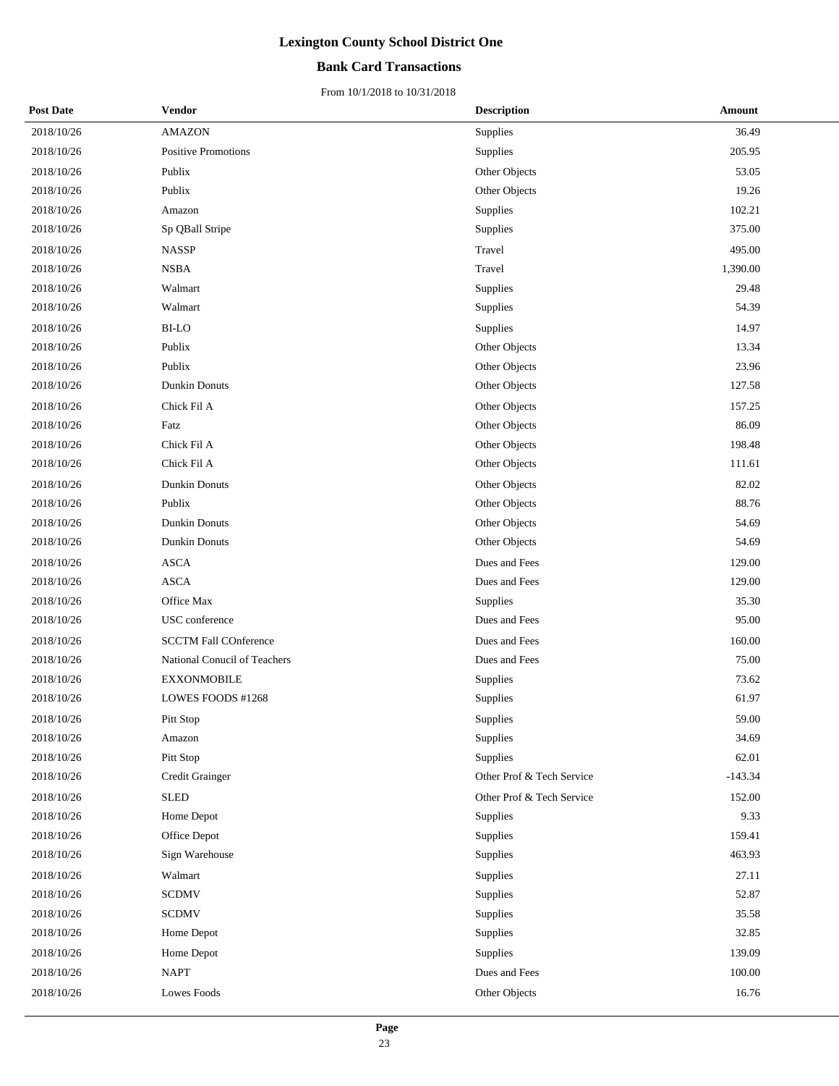## **Bank Card Transactions**

| <b>Post Date</b> | Vendor                       | <b>Description</b>        | Amount    |
|------------------|------------------------------|---------------------------|-----------|
| 2018/10/26       | <b>AMAZON</b>                | Supplies                  | 36.49     |
| 2018/10/26       | Positive Promotions          | Supplies                  | 205.95    |
| 2018/10/26       | Publix                       | Other Objects             | 53.05     |
| 2018/10/26       | Publix                       | Other Objects             | 19.26     |
| 2018/10/26       | Amazon                       | Supplies                  | 102.21    |
| 2018/10/26       | Sp QBall Stripe              | Supplies                  | 375.00    |
| 2018/10/26       | <b>NASSP</b>                 | Travel                    | 495.00    |
| 2018/10/26       | <b>NSBA</b>                  | Travel                    | 1,390.00  |
| 2018/10/26       | Walmart                      | Supplies                  | 29.48     |
| 2018/10/26       | Walmart                      | Supplies                  | 54.39     |
| 2018/10/26       | <b>BI-LO</b>                 | Supplies                  | 14.97     |
| 2018/10/26       | Publix                       | Other Objects             | 13.34     |
| 2018/10/26       | Publix                       | Other Objects             | 23.96     |
| 2018/10/26       | Dunkin Donuts                | Other Objects             | 127.58    |
| 2018/10/26       | Chick Fil A                  | Other Objects             | 157.25    |
| 2018/10/26       | Fatz                         | Other Objects             | 86.09     |
| 2018/10/26       | Chick Fil A                  | Other Objects             | 198.48    |
| 2018/10/26       | Chick Fil A                  | Other Objects             | 111.61    |
| 2018/10/26       | Dunkin Donuts                | Other Objects             | 82.02     |
| 2018/10/26       | Publix                       | Other Objects             | 88.76     |
| 2018/10/26       | <b>Dunkin Donuts</b>         | Other Objects             | 54.69     |
| 2018/10/26       | Dunkin Donuts                | Other Objects             | 54.69     |
| 2018/10/26       | <b>ASCA</b>                  | Dues and Fees             | 129.00    |
| 2018/10/26       | <b>ASCA</b>                  | Dues and Fees             | 129.00    |
| 2018/10/26       | Office Max                   | Supplies                  | 35.30     |
| 2018/10/26       | USC conference               | Dues and Fees             | 95.00     |
| 2018/10/26       | <b>SCCTM Fall COnference</b> | Dues and Fees             | 160.00    |
| 2018/10/26       | National Conucil of Teachers | Dues and Fees             | 75.00     |
| 2018/10/26       | <b>EXXONMOBILE</b>           | Supplies                  | 73.62     |
| 2018/10/26       | LOWES FOODS #1268            | Supplies                  | 61.97     |
| 2018/10/26       | Pitt Stop                    | Supplies                  | 59.00     |
| 2018/10/26       | Amazon                       | Supplies                  | 34.69     |
| 2018/10/26       | Pitt Stop                    | Supplies                  | 62.01     |
| 2018/10/26       | Credit Grainger              | Other Prof & Tech Service | $-143.34$ |
| 2018/10/26       | <b>SLED</b>                  | Other Prof & Tech Service | 152.00    |
| 2018/10/26       | Home Depot                   | Supplies                  | 9.33      |
| 2018/10/26       | Office Depot                 | Supplies                  | 159.41    |
| 2018/10/26       | Sign Warehouse               | Supplies                  | 463.93    |
| 2018/10/26       | Walmart                      | Supplies                  | 27.11     |
| 2018/10/26       | <b>SCDMV</b>                 | Supplies                  | 52.87     |
| 2018/10/26       | <b>SCDMV</b>                 | Supplies                  | 35.58     |
| 2018/10/26       | Home Depot                   | Supplies                  | 32.85     |
| 2018/10/26       | Home Depot                   | Supplies                  | 139.09    |
| 2018/10/26       | <b>NAPT</b>                  | Dues and Fees             | 100.00    |
| 2018/10/26       | Lowes Foods                  | Other Objects             | 16.76     |
|                  |                              |                           |           |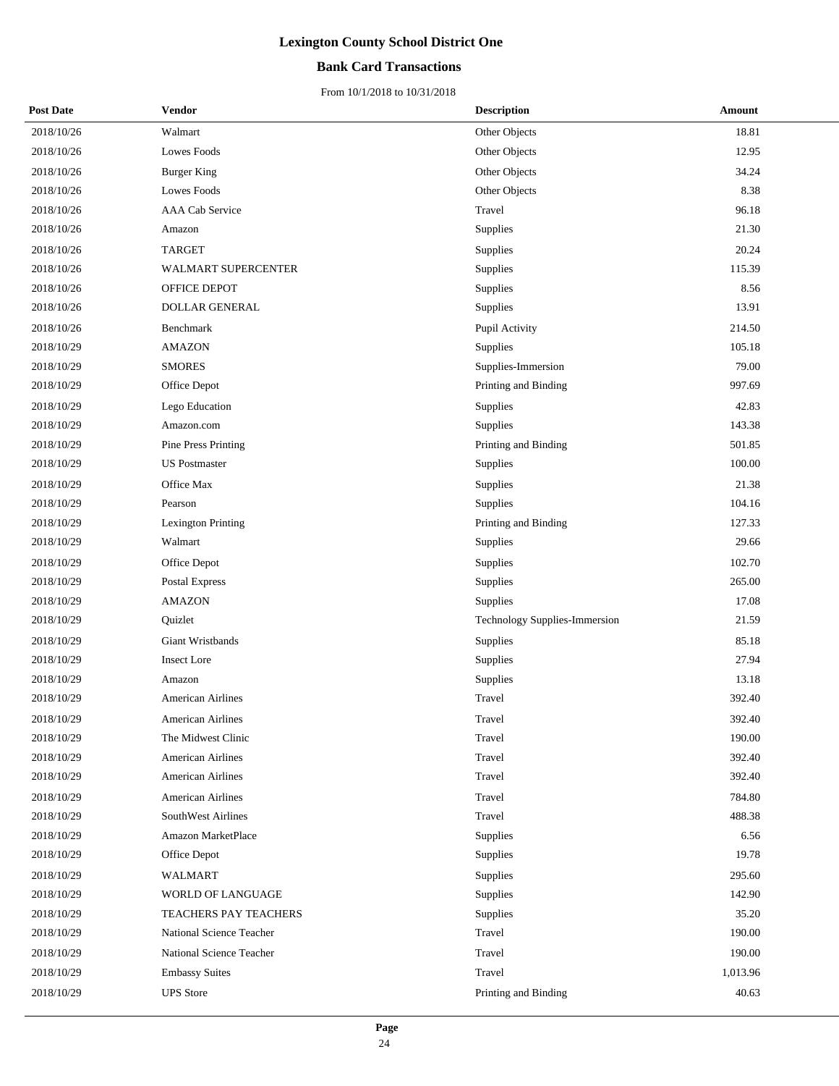## **Bank Card Transactions**

| <b>Post Date</b> | Vendor                    | <b>Description</b>                   | Amount   |
|------------------|---------------------------|--------------------------------------|----------|
| 2018/10/26       | Walmart                   | Other Objects                        | 18.81    |
| 2018/10/26       | Lowes Foods               | Other Objects                        | 12.95    |
| 2018/10/26       | <b>Burger King</b>        | Other Objects                        | 34.24    |
| 2018/10/26       | Lowes Foods               | Other Objects                        | 8.38     |
| 2018/10/26       | AAA Cab Service           | Travel                               | 96.18    |
| 2018/10/26       | Amazon                    | Supplies                             | 21.30    |
| 2018/10/26       | <b>TARGET</b>             | Supplies                             | 20.24    |
| 2018/10/26       | WALMART SUPERCENTER       | Supplies                             | 115.39   |
| 2018/10/26       | OFFICE DEPOT              | Supplies                             | 8.56     |
| 2018/10/26       | <b>DOLLAR GENERAL</b>     | Supplies                             | 13.91    |
| 2018/10/26       | Benchmark                 | Pupil Activity                       | 214.50   |
| 2018/10/29       | <b>AMAZON</b>             | Supplies                             | 105.18   |
| 2018/10/29       | <b>SMORES</b>             | Supplies-Immersion                   | 79.00    |
| 2018/10/29       | Office Depot              | Printing and Binding                 | 997.69   |
| 2018/10/29       | Lego Education            | Supplies                             | 42.83    |
| 2018/10/29       | Amazon.com                | Supplies                             | 143.38   |
| 2018/10/29       | Pine Press Printing       | Printing and Binding                 | 501.85   |
| 2018/10/29       | <b>US</b> Postmaster      | Supplies                             | 100.00   |
| 2018/10/29       | Office Max                | Supplies                             | 21.38    |
| 2018/10/29       | Pearson                   | Supplies                             | 104.16   |
| 2018/10/29       | <b>Lexington Printing</b> | Printing and Binding                 | 127.33   |
| 2018/10/29       | Walmart                   | Supplies                             | 29.66    |
| 2018/10/29       | Office Depot              | Supplies                             | 102.70   |
| 2018/10/29       | Postal Express            | Supplies                             | 265.00   |
| 2018/10/29       | <b>AMAZON</b>             | Supplies                             | 17.08    |
| 2018/10/29       | Quizlet                   | <b>Technology Supplies-Immersion</b> | 21.59    |
| 2018/10/29       | Giant Wristbands          | Supplies                             | 85.18    |
| 2018/10/29       | Insect Lore               | Supplies                             | 27.94    |
| 2018/10/29       | Amazon                    | Supplies                             | 13.18    |
| 2018/10/29       | American Airlines         | Travel                               | 392.40   |
| 2018/10/29       | <b>American Airlines</b>  | Travel                               | 392.40   |
| 2018/10/29       | The Midwest Clinic        | Travel                               | 190.00   |
| 2018/10/29       | <b>American Airlines</b>  | Travel                               | 392.40   |
| 2018/10/29       | <b>American Airlines</b>  | Travel                               | 392.40   |
| 2018/10/29       | <b>American Airlines</b>  | Travel                               | 784.80   |
| 2018/10/29       | SouthWest Airlines        | Travel                               | 488.38   |
| 2018/10/29       | Amazon MarketPlace        | Supplies                             | 6.56     |
| 2018/10/29       | Office Depot              | Supplies                             | 19.78    |
| 2018/10/29       | WALMART                   | Supplies                             | 295.60   |
| 2018/10/29       | <b>WORLD OF LANGUAGE</b>  | Supplies                             | 142.90   |
| 2018/10/29       | TEACHERS PAY TEACHERS     | Supplies                             | 35.20    |
| 2018/10/29       | National Science Teacher  | Travel                               | 190.00   |
| 2018/10/29       | National Science Teacher  | Travel                               | 190.00   |
| 2018/10/29       | <b>Embassy Suites</b>     | Travel                               | 1,013.96 |
| 2018/10/29       | <b>UPS</b> Store          | Printing and Binding                 | 40.63    |
|                  |                           |                                      |          |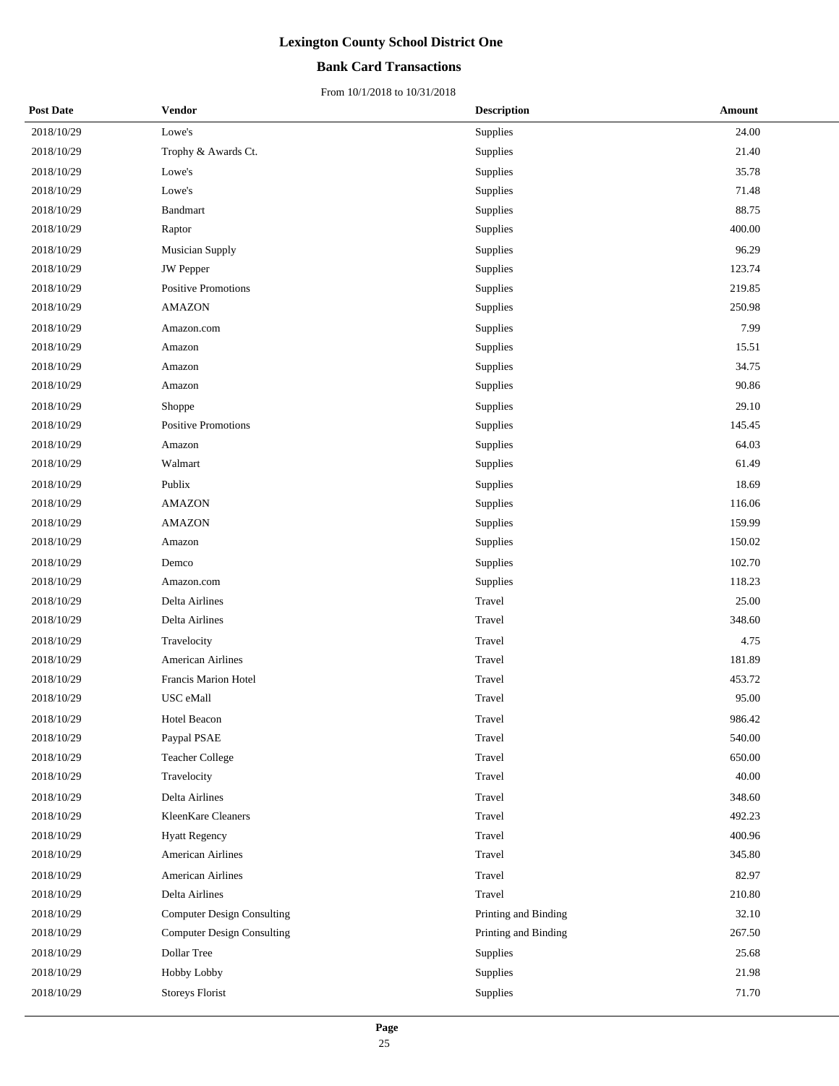## **Bank Card Transactions**

| <b>Post Date</b> | Vendor                            | <b>Description</b>   | Amount |  |
|------------------|-----------------------------------|----------------------|--------|--|
| 2018/10/29       | Lowe's                            | Supplies             | 24.00  |  |
| 2018/10/29       | Trophy & Awards Ct.               | Supplies             | 21.40  |  |
| 2018/10/29       | Lowe's                            | Supplies             | 35.78  |  |
| 2018/10/29       | Lowe's                            | Supplies             | 71.48  |  |
| 2018/10/29       | Bandmart                          | Supplies             | 88.75  |  |
| 2018/10/29       | Raptor                            | Supplies             | 400.00 |  |
| 2018/10/29       | Musician Supply                   | Supplies             | 96.29  |  |
| 2018/10/29       | <b>JW</b> Pepper                  | Supplies             | 123.74 |  |
| 2018/10/29       | Positive Promotions               | Supplies             | 219.85 |  |
| 2018/10/29       | <b>AMAZON</b>                     | Supplies             | 250.98 |  |
| 2018/10/29       | Amazon.com                        | Supplies             | 7.99   |  |
| 2018/10/29       | Amazon                            | Supplies             | 15.51  |  |
| 2018/10/29       | Amazon                            | Supplies             | 34.75  |  |
| 2018/10/29       | Amazon                            | Supplies             | 90.86  |  |
| 2018/10/29       | Shoppe                            | Supplies             | 29.10  |  |
| 2018/10/29       | Positive Promotions               | Supplies             | 145.45 |  |
| 2018/10/29       | Amazon                            | Supplies             | 64.03  |  |
| 2018/10/29       | Walmart                           | Supplies             | 61.49  |  |
| 2018/10/29       | Publix                            | Supplies             | 18.69  |  |
| 2018/10/29       | <b>AMAZON</b>                     | Supplies             | 116.06 |  |
| 2018/10/29       | <b>AMAZON</b>                     | Supplies             | 159.99 |  |
| 2018/10/29       | Amazon                            | Supplies             | 150.02 |  |
| 2018/10/29       | Demco                             | Supplies             | 102.70 |  |
| 2018/10/29       | Amazon.com                        | Supplies             | 118.23 |  |
| 2018/10/29       | Delta Airlines                    | Travel               | 25.00  |  |
| 2018/10/29       | Delta Airlines                    | Travel               | 348.60 |  |
| 2018/10/29       | Travelocity                       | Travel               | 4.75   |  |
| 2018/10/29       | <b>American Airlines</b>          | Travel               | 181.89 |  |
| 2018/10/29       | Francis Marion Hotel              | Travel               | 453.72 |  |
| 2018/10/29       | USC eMall                         | Travel               | 95.00  |  |
| 2018/10/29       | <b>Hotel Beacon</b>               | Travel               | 986.42 |  |
| 2018/10/29       | Paypal PSAE                       | Travel               | 540.00 |  |
| 2018/10/29       | <b>Teacher College</b>            | Travel               | 650.00 |  |
| 2018/10/29       | Travelocity                       | Travel               | 40.00  |  |
| 2018/10/29       | Delta Airlines                    | Travel               | 348.60 |  |
| 2018/10/29       | KleenKare Cleaners                | Travel               | 492.23 |  |
| 2018/10/29       | <b>Hyatt Regency</b>              | Travel               | 400.96 |  |
| 2018/10/29       | <b>American Airlines</b>          | Travel               | 345.80 |  |
| 2018/10/29       | <b>American Airlines</b>          | Travel               | 82.97  |  |
| 2018/10/29       | Delta Airlines                    | Travel               | 210.80 |  |
| 2018/10/29       | <b>Computer Design Consulting</b> | Printing and Binding | 32.10  |  |
| 2018/10/29       | <b>Computer Design Consulting</b> | Printing and Binding | 267.50 |  |
| 2018/10/29       | Dollar Tree                       | Supplies             | 25.68  |  |
| 2018/10/29       | Hobby Lobby                       | Supplies             | 21.98  |  |
| 2018/10/29       | <b>Storeys Florist</b>            | Supplies             | 71.70  |  |
|                  |                                   |                      |        |  |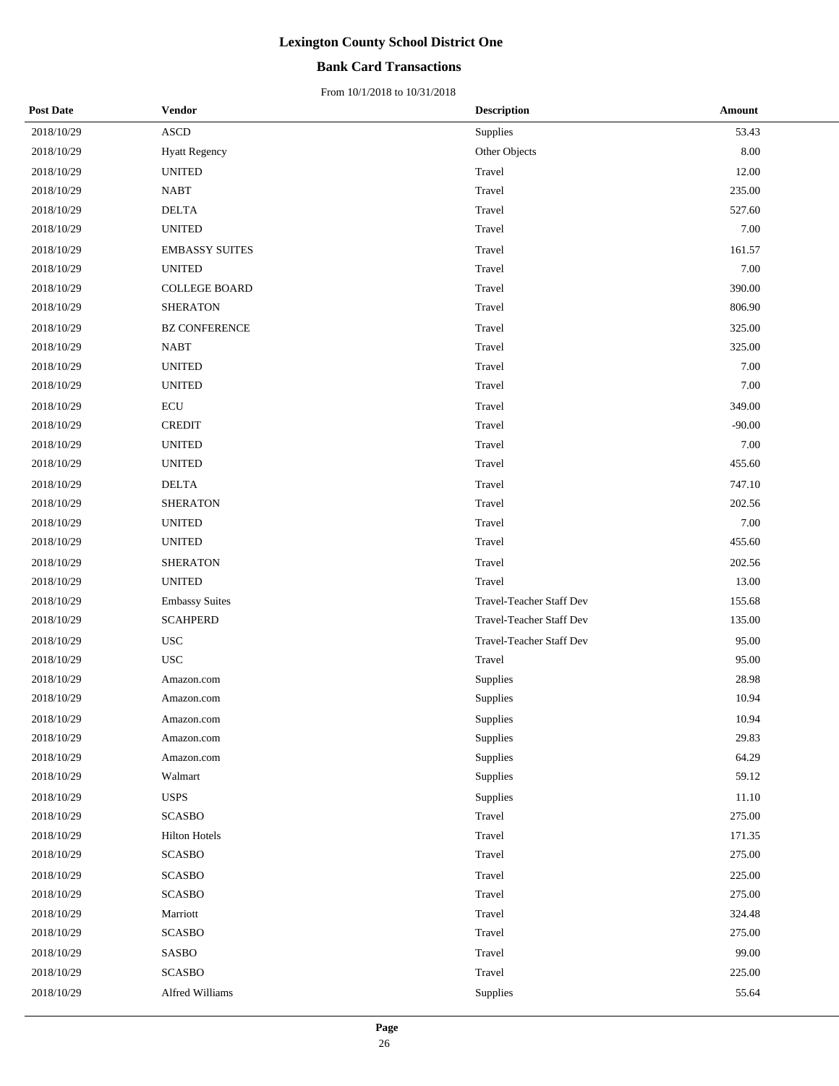## **Bank Card Transactions**

| <b>Post Date</b> | Vendor                | <b>Description</b>       | Amount   |
|------------------|-----------------------|--------------------------|----------|
| 2018/10/29       | <b>ASCD</b>           | Supplies                 | 53.43    |
| 2018/10/29       | <b>Hyatt Regency</b>  | Other Objects            | 8.00     |
| 2018/10/29       | <b>UNITED</b>         | Travel                   | 12.00    |
| 2018/10/29       | <b>NABT</b>           | Travel                   | 235.00   |
| 2018/10/29       | <b>DELTA</b>          | Travel                   | 527.60   |
| 2018/10/29       | <b>UNITED</b>         | Travel                   | 7.00     |
| 2018/10/29       | <b>EMBASSY SUITES</b> | Travel                   | 161.57   |
| 2018/10/29       | <b>UNITED</b>         | Travel                   | 7.00     |
| 2018/10/29       | <b>COLLEGE BOARD</b>  | Travel                   | 390.00   |
| 2018/10/29       | <b>SHERATON</b>       | Travel                   | 806.90   |
| 2018/10/29       | <b>BZ CONFERENCE</b>  | Travel                   | 325.00   |
| 2018/10/29       | <b>NABT</b>           | Travel                   | 325.00   |
| 2018/10/29       | <b>UNITED</b>         | Travel                   | 7.00     |
| 2018/10/29       | <b>UNITED</b>         | Travel                   | 7.00     |
| 2018/10/29       | <b>ECU</b>            | Travel                   | 349.00   |
| 2018/10/29       | <b>CREDIT</b>         | Travel                   | $-90.00$ |
| 2018/10/29       | <b>UNITED</b>         | Travel                   | 7.00     |
| 2018/10/29       | <b>UNITED</b>         | Travel                   | 455.60   |
| 2018/10/29       | <b>DELTA</b>          | Travel                   | 747.10   |
| 2018/10/29       | <b>SHERATON</b>       | Travel                   | 202.56   |
| 2018/10/29       | <b>UNITED</b>         | Travel                   | 7.00     |
| 2018/10/29       | <b>UNITED</b>         | Travel                   | 455.60   |
| 2018/10/29       | <b>SHERATON</b>       | Travel                   | 202.56   |
| 2018/10/29       | <b>UNITED</b>         | Travel                   | 13.00    |
| 2018/10/29       | <b>Embassy Suites</b> | Travel-Teacher Staff Dev | 155.68   |
| 2018/10/29       | <b>SCAHPERD</b>       | Travel-Teacher Staff Dev | 135.00   |
| 2018/10/29       | <b>USC</b>            | Travel-Teacher Staff Dev | 95.00    |
| 2018/10/29       | <b>USC</b>            | Travel                   | 95.00    |
| 2018/10/29       | Amazon.com            | Supplies                 | 28.98    |
| 2018/10/29       | Amazon.com            | Supplies                 | 10.94    |
| 2018/10/29       | Amazon.com            | Supplies                 | 10.94    |
| 2018/10/29       | Amazon.com            | Supplies                 | 29.83    |
| 2018/10/29       | Amazon.com            | Supplies                 | 64.29    |
| 2018/10/29       | Walmart               | Supplies                 | 59.12    |
| 2018/10/29       | <b>USPS</b>           | Supplies                 | 11.10    |
| 2018/10/29       | <b>SCASBO</b>         | Travel                   | 275.00   |
| 2018/10/29       | <b>Hilton Hotels</b>  | Travel                   | 171.35   |
| 2018/10/29       | <b>SCASBO</b>         | Travel                   | 275.00   |
| 2018/10/29       | <b>SCASBO</b>         | Travel                   | 225.00   |
| 2018/10/29       | <b>SCASBO</b>         | Travel                   | 275.00   |
| 2018/10/29       | Marriott              | Travel                   | 324.48   |
| 2018/10/29       | <b>SCASBO</b>         | Travel                   | 275.00   |
| 2018/10/29       | SASBO                 | Travel                   | 99.00    |
| 2018/10/29       | <b>SCASBO</b>         | Travel                   | 225.00   |
| 2018/10/29       | Alfred Williams       | Supplies                 | 55.64    |
|                  |                       |                          |          |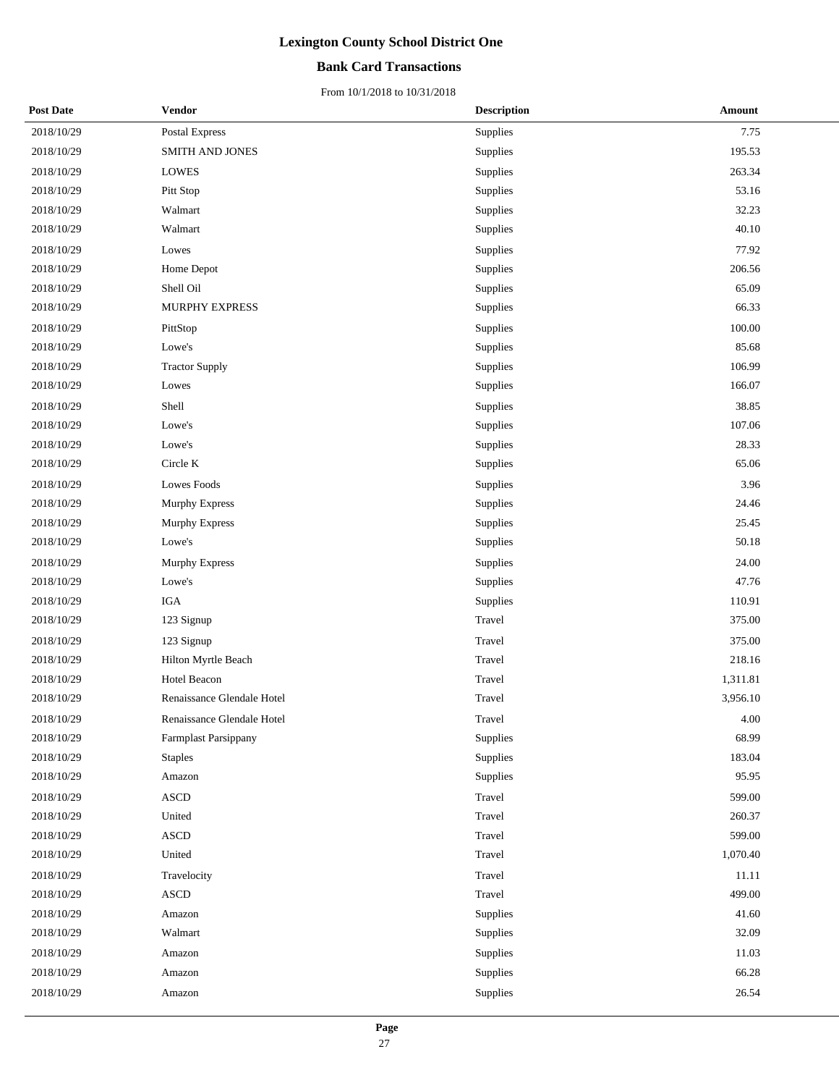## **Bank Card Transactions**

| <b>Post Date</b> | Vendor                       | <b>Description</b> | <b>Amount</b> |
|------------------|------------------------------|--------------------|---------------|
| 2018/10/29       | Postal Express               | Supplies           | 7.75          |
| 2018/10/29       | SMITH AND JONES              | Supplies           | 195.53        |
| 2018/10/29       | <b>LOWES</b>                 | Supplies           | 263.34        |
| 2018/10/29       | Pitt Stop                    | Supplies           | 53.16         |
| 2018/10/29       | Walmart                      | Supplies           | 32.23         |
| 2018/10/29       | Walmart                      | Supplies           | 40.10         |
| 2018/10/29       | Lowes                        | Supplies           | 77.92         |
| 2018/10/29       | Home Depot                   | Supplies           | 206.56        |
| 2018/10/29       | Shell Oil                    | Supplies           | 65.09         |
| 2018/10/29       | MURPHY EXPRESS               | Supplies           | 66.33         |
| 2018/10/29       | PittStop                     | Supplies           | 100.00        |
| 2018/10/29       | Lowe's                       | Supplies           | 85.68         |
| 2018/10/29       | <b>Tractor Supply</b>        | Supplies           | 106.99        |
| 2018/10/29       | Lowes                        | Supplies           | 166.07        |
| 2018/10/29       | Shell                        | Supplies           | 38.85         |
| 2018/10/29       | Lowe's                       | Supplies           | 107.06        |
| 2018/10/29       | Lowe's                       | Supplies           | 28.33         |
| 2018/10/29       | Circle K                     | Supplies           | 65.06         |
| 2018/10/29       | Lowes Foods                  | Supplies           | 3.96          |
| 2018/10/29       | Murphy Express               | Supplies           | 24.46         |
| 2018/10/29       | Murphy Express               | Supplies           | 25.45         |
| 2018/10/29       | Lowe's                       | Supplies           | 50.18         |
| 2018/10/29       | Murphy Express               | Supplies           | 24.00         |
| 2018/10/29       | Lowe's                       | Supplies           | 47.76         |
| 2018/10/29       | IGA                          | Supplies           | 110.91        |
| 2018/10/29       | 123 Signup                   | Travel             | 375.00        |
| 2018/10/29       | 123 Signup                   | Travel             | 375.00        |
| 2018/10/29       | Hilton Myrtle Beach          | Travel             | 218.16        |
| 2018/10/29       | Hotel Beacon                 | Travel             | 1,311.81      |
| 2018/10/29       | Renaissance Glendale Hotel   | Travel             | 3,956.10      |
| 2018/10/29       | Renaissance Glendale Hotel   | Travel             | 4.00          |
| 2018/10/29       | <b>Farmplast Parsippany</b>  | Supplies           | 68.99         |
| 2018/10/29       | <b>Staples</b>               | Supplies           | 183.04        |
| 2018/10/29       | Amazon                       | Supplies           | 95.95         |
| 2018/10/29       | <b>ASCD</b>                  | Travel             | 599.00        |
| 2018/10/29       | United                       | Travel             | 260.37        |
| 2018/10/29       | $\bold{ASCD}$                | Travel             | 599.00        |
| 2018/10/29       | United                       | Travel             | 1,070.40      |
| 2018/10/29       | Travelocity                  | Travel             | 11.11         |
| 2018/10/29       | $\boldsymbol{\mathsf{ASCD}}$ | Travel             | 499.00        |
| 2018/10/29       | Amazon                       | Supplies           | 41.60         |
| 2018/10/29       | Walmart                      | Supplies           | 32.09         |
| 2018/10/29       | Amazon                       | Supplies           | 11.03         |
| 2018/10/29       | Amazon                       | Supplies           | 66.28         |
| 2018/10/29       | Amazon                       | Supplies           | 26.54         |
|                  |                              |                    |               |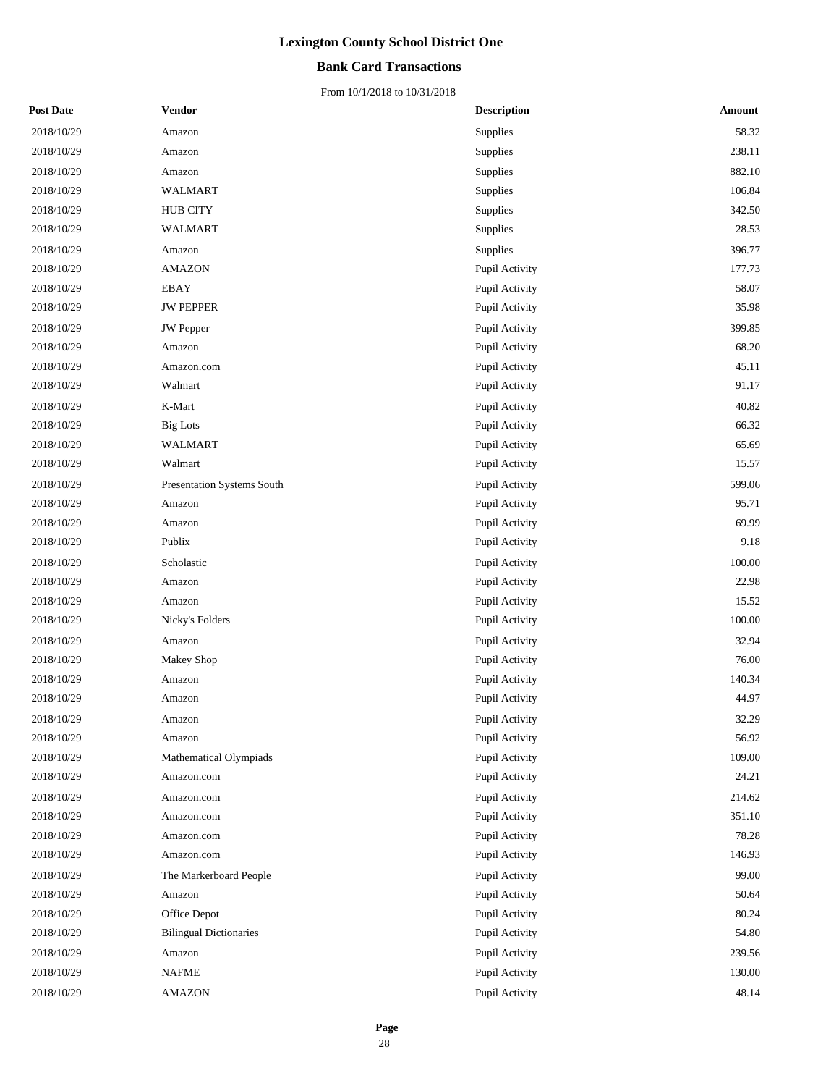## **Bank Card Transactions**

| <b>Post Date</b> | Vendor                        | <b>Description</b> | <b>Amount</b> |
|------------------|-------------------------------|--------------------|---------------|
| 2018/10/29       | Amazon                        | Supplies           | 58.32         |
| 2018/10/29       | Amazon                        | Supplies           | 238.11        |
| 2018/10/29       | Amazon                        | Supplies           | 882.10        |
| 2018/10/29       | <b>WALMART</b>                | Supplies           | 106.84        |
| 2018/10/29       | <b>HUB CITY</b>               | Supplies           | 342.50        |
| 2018/10/29       | WALMART                       | Supplies           | 28.53         |
| 2018/10/29       | Amazon                        | Supplies           | 396.77        |
| 2018/10/29       | <b>AMAZON</b>                 | Pupil Activity     | 177.73        |
| 2018/10/29       | EBAY                          | Pupil Activity     | 58.07         |
| 2018/10/29       | <b>JW PEPPER</b>              | Pupil Activity     | 35.98         |
| 2018/10/29       | JW Pepper                     | Pupil Activity     | 399.85        |
| 2018/10/29       | Amazon                        | Pupil Activity     | 68.20         |
| 2018/10/29       | Amazon.com                    | Pupil Activity     | 45.11         |
| 2018/10/29       | Walmart                       | Pupil Activity     | 91.17         |
| 2018/10/29       | K-Mart                        | Pupil Activity     | 40.82         |
| 2018/10/29       | <b>Big Lots</b>               | Pupil Activity     | 66.32         |
| 2018/10/29       | <b>WALMART</b>                | Pupil Activity     | 65.69         |
| 2018/10/29       | Walmart                       | Pupil Activity     | 15.57         |
| 2018/10/29       | Presentation Systems South    | Pupil Activity     | 599.06        |
| 2018/10/29       | Amazon                        | Pupil Activity     | 95.71         |
| 2018/10/29       | Amazon                        | Pupil Activity     | 69.99         |
| 2018/10/29       | Publix                        | Pupil Activity     | 9.18          |
| 2018/10/29       | Scholastic                    | Pupil Activity     | 100.00        |
| 2018/10/29       | Amazon                        | Pupil Activity     | 22.98         |
| 2018/10/29       | Amazon                        | Pupil Activity     | 15.52         |
| 2018/10/29       | Nicky's Folders               | Pupil Activity     | 100.00        |
| 2018/10/29       | Amazon                        | Pupil Activity     | 32.94         |
| 2018/10/29       | Makey Shop                    | Pupil Activity     | 76.00         |
| 2018/10/29       | Amazon                        | Pupil Activity     | 140.34        |
| 2018/10/29       | Amazon                        | Pupil Activity     | 44.97         |
| 2018/10/29       | Amazon                        | Pupil Activity     | 32.29         |
| 2018/10/29       | Amazon                        | Pupil Activity     | 56.92         |
| 2018/10/29       | Mathematical Olympiads        | Pupil Activity     | 109.00        |
| 2018/10/29       | Amazon.com                    | Pupil Activity     | 24.21         |
| 2018/10/29       | Amazon.com                    | Pupil Activity     | 214.62        |
| 2018/10/29       | Amazon.com                    | Pupil Activity     | 351.10        |
| 2018/10/29       | Amazon.com                    | Pupil Activity     | 78.28         |
| 2018/10/29       | Amazon.com                    | Pupil Activity     | 146.93        |
| 2018/10/29       | The Markerboard People        | Pupil Activity     | 99.00         |
| 2018/10/29       | Amazon                        | Pupil Activity     | 50.64         |
| 2018/10/29       | Office Depot                  | Pupil Activity     | 80.24         |
| 2018/10/29       | <b>Bilingual Dictionaries</b> | Pupil Activity     | 54.80         |
| 2018/10/29       | Amazon                        | Pupil Activity     | 239.56        |
| 2018/10/29       | <b>NAFME</b>                  | Pupil Activity     | 130.00        |
| 2018/10/29       | <b>AMAZON</b>                 | Pupil Activity     | 48.14         |
|                  |                               |                    |               |